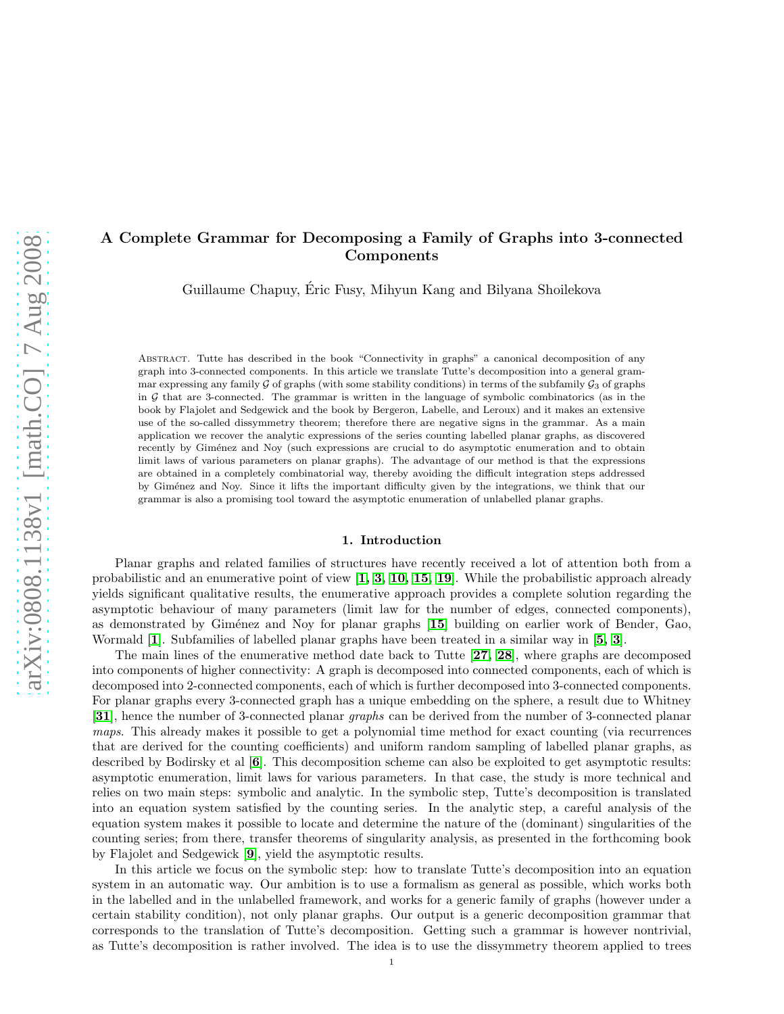# A Complete Grammar for Decomposing a Family of Graphs into 3-connected Components

Guillaume Chapuy, Eric Fusy, Mihyun Kang and Bilyana Shoilekova ´

Abstract. Tutte has described in the book "Connectivity in graphs" a canonical decomposition of any graph into 3-connected components. In this article we translate Tutte's decomposition into a general grammar expressing any family G of graphs (with some stability conditions) in terms of the subfamily  $\mathcal{G}_3$  of graphs in  $G$  that are 3-connected. The grammar is written in the language of symbolic combinatorics (as in the book by Flajolet and Sedgewick and the book by Bergeron, Labelle, and Leroux) and it makes an extensive use of the so-called dissymmetry theorem; therefore there are negative signs in the grammar. As a main application we recover the analytic expressions of the series counting labelled planar graphs, as discovered recently by Giménez and Noy (such expressions are crucial to do asymptotic enumeration and to obtain limit laws of various parameters on planar graphs). The advantage of our method is that the expressions are obtained in a completely combinatorial way, thereby avoiding the difficult integration steps addressed by Gim´enez and Noy. Since it lifts the important difficulty given by the integrations, we think that our grammar is also a promising tool toward the asymptotic enumeration of unlabelled planar graphs.

### 1. Introduction

Planar graphs and related families of structures have recently received a lot of attention both from a probabilistic and an enumerative point of view  $\left[1, 3, 10, 15, 19\right]$  $\left[1, 3, 10, 15, 19\right]$  $\left[1, 3, 10, 15, 19\right]$  $\left[1, 3, 10, 15, 19\right]$  $\left[1, 3, 10, 15, 19\right]$  $\left[1, 3, 10, 15, 19\right]$  $\left[1, 3, 10, 15, 19\right]$ . While the probabilistic approach already yields significant qualitative results, the enumerative approach provides a complete solution regarding the asymptotic behaviour of many parameters (limit law for the number of edges, connected components), as demonstrated by Giménez and Noy for planar graphs [[15](#page-24-3)] building on earlier work of Bender, Gao, Wormald [[1](#page-24-0)]. Subfamilies of labelled planar graphs have been treated in a similar way in [[5,](#page-24-5) [3](#page-24-1)].

The main lines of the enumerative method date back to Tutte [[27,](#page-25-0) [28](#page-25-1)], where graphs are decomposed into components of higher connectivity: A graph is decomposed into connected components, each of which is decomposed into 2-connected components, each of which is further decomposed into 3-connected components. For planar graphs every 3-connected graph has a unique embedding on the sphere, a result due to Whitney [[31](#page-25-2)], hence the number of 3-connected planar *graphs* can be derived from the number of 3-connected planar *maps*. This already makes it possible to get a polynomial time method for exact counting (via recurrences that are derived for the counting coefficients) and uniform random sampling of labelled planar graphs, as described by Bodirsky et al [[6](#page-24-6)]. This decomposition scheme can also be exploited to get asymptotic results: asymptotic enumeration, limit laws for various parameters. In that case, the study is more technical and relies on two main steps: symbolic and analytic. In the symbolic step, Tutte's decomposition is translated into an equation system satisfied by the counting series. In the analytic step, a careful analysis of the equation system makes it possible to locate and determine the nature of the (dominant) singularities of the counting series; from there, transfer theorems of singularity analysis, as presented in the forthcoming book by Flajolet and Sedgewick [[9](#page-24-7)], yield the asymptotic results.

In this article we focus on the symbolic step: how to translate Tutte's decomposition into an equation system in an automatic way. Our ambition is to use a formalism as general as possible, which works both in the labelled and in the unlabelled framework, and works for a generic family of graphs (however under a certain stability condition), not only planar graphs. Our output is a generic decomposition grammar that corresponds to the translation of Tutte's decomposition. Getting such a grammar is however nontrivial, as Tutte's decomposition is rather involved. The idea is to use the dissymmetry theorem applied to trees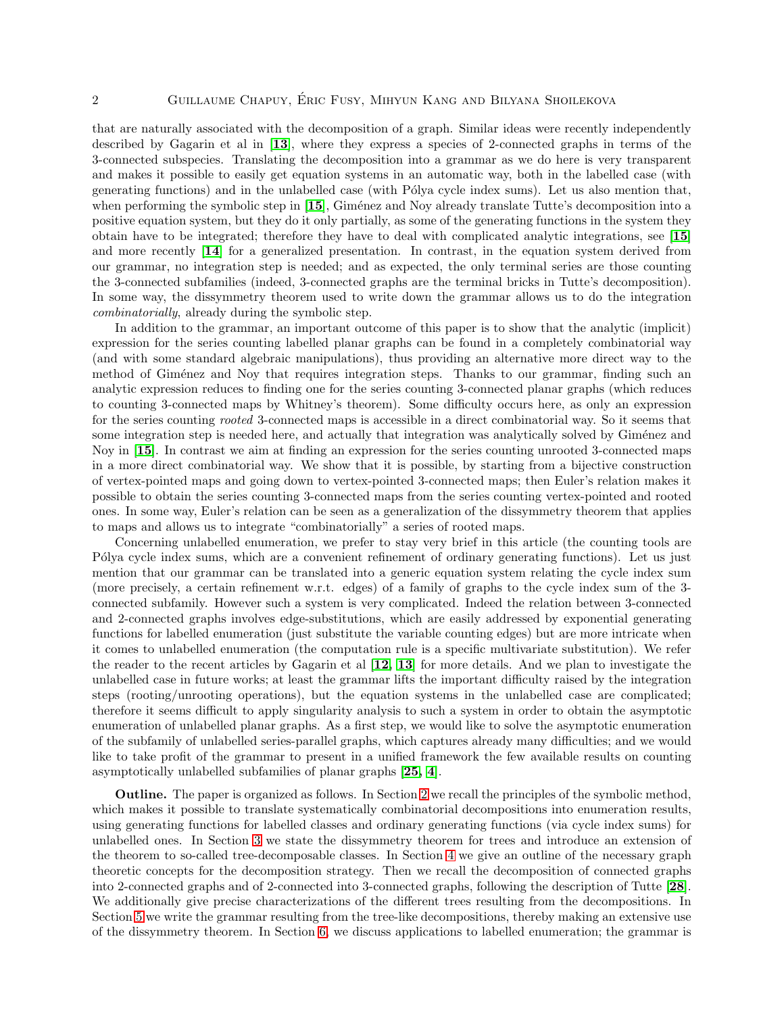that are naturally associated with the decomposition of a graph. Similar ideas were recently independently described by Gagarin et al in [[13](#page-24-8)], where they express a species of 2-connected graphs in terms of the 3-connected subspecies. Translating the decomposition into a grammar as we do here is very transparent and makes it possible to easily get equation systems in an automatic way, both in the labelled case (with generating functions) and in the unlabelled case (with Pólya cycle index sums). Let us also mention that, when performing the symbolic step in  $[15]$  $[15]$  $[15]$ , Giménez and Noy already translate Tutte's decomposition into a positive equation system, but they do it only partially, as some of the generating functions in the system they obtain have to be integrated; therefore they have to deal with complicated analytic integrations, see [[15](#page-24-3)] and more recently [[14](#page-24-9)] for a generalized presentation. In contrast, in the equation system derived from our grammar, no integration step is needed; and as expected, the only terminal series are those counting the 3-connected subfamilies (indeed, 3-connected graphs are the terminal bricks in Tutte's decomposition). In some way, the dissymmetry theorem used to write down the grammar allows us to do the integration *combinatorially*, already during the symbolic step.

In addition to the grammar, an important outcome of this paper is to show that the analytic (implicit) expression for the series counting labelled planar graphs can be found in a completely combinatorial way (and with some standard algebraic manipulations), thus providing an alternative more direct way to the method of Giménez and Noy that requires integration steps. Thanks to our grammar, finding such an analytic expression reduces to finding one for the series counting 3-connected planar graphs (which reduces to counting 3-connected maps by Whitney's theorem). Some difficulty occurs here, as only an expression for the series counting *rooted* 3-connected maps is accessible in a direct combinatorial way. So it seems that some integration step is needed here, and actually that integration was analytically solved by Giménez and Noy in [[15](#page-24-3)]. In contrast we aim at finding an expression for the series counting unrooted 3-connected maps in a more direct combinatorial way. We show that it is possible, by starting from a bijective construction of vertex-pointed maps and going down to vertex-pointed 3-connected maps; then Euler's relation makes it possible to obtain the series counting 3-connected maps from the series counting vertex-pointed and rooted ones. In some way, Euler's relation can be seen as a generalization of the dissymmetry theorem that applies to maps and allows us to integrate "combinatorially" a series of rooted maps.

Concerning unlabelled enumeration, we prefer to stay very brief in this article (the counting tools are P'olya cycle index sums, which are a convenient refinement of ordinary generating functions). Let us just mention that our grammar can be translated into a generic equation system relating the cycle index sum (more precisely, a certain refinement w.r.t. edges) of a family of graphs to the cycle index sum of the 3 connected subfamily. However such a system is very complicated. Indeed the relation between 3-connected and 2-connected graphs involves edge-substitutions, which are easily addressed by exponential generating functions for labelled enumeration (just substitute the variable counting edges) but are more intricate when it comes to unlabelled enumeration (the computation rule is a specific multivariate substitution). We refer the reader to the recent articles by Gagarin et al [[12,](#page-24-10) [13](#page-24-8)] for more details. And we plan to investigate the unlabelled case in future works; at least the grammar lifts the important difficulty raised by the integration steps (rooting/unrooting operations), but the equation systems in the unlabelled case are complicated; therefore it seems difficult to apply singularity analysis to such a system in order to obtain the asymptotic enumeration of unlabelled planar graphs. As a first step, we would like to solve the asymptotic enumeration of the subfamily of unlabelled series-parallel graphs, which captures already many difficulties; and we would like to take profit of the grammar to present in a unified framework the few available results on counting asymptotically unlabelled subfamilies of planar graphs [[25,](#page-25-3) [4](#page-24-11)].

Outline. The paper is organized as follows. In Section [2](#page-2-0) we recall the principles of the symbolic method, which makes it possible to translate systematically combinatorial decompositions into enumeration results, using generating functions for labelled classes and ordinary generating functions (via cycle index sums) for unlabelled ones. In Section [3](#page-5-0) we state the dissymmetry theorem for trees and introduce an extension of the theorem to so-called tree-decomposable classes. In Section [4](#page-5-1) we give an outline of the necessary graph theoretic concepts for the decomposition strategy. Then we recall the decomposition of connected graphs into 2-connected graphs and of 2-connected into 3-connected graphs, following the description of Tutte [[28](#page-25-1)]. We additionally give precise characterizations of the different trees resulting from the decompositions. In Section [5](#page-8-0) we write the grammar resulting from the tree-like decompositions, thereby making an extensive use of the dissymmetry theorem. In Section [6,](#page-13-0) we discuss applications to labelled enumeration; the grammar is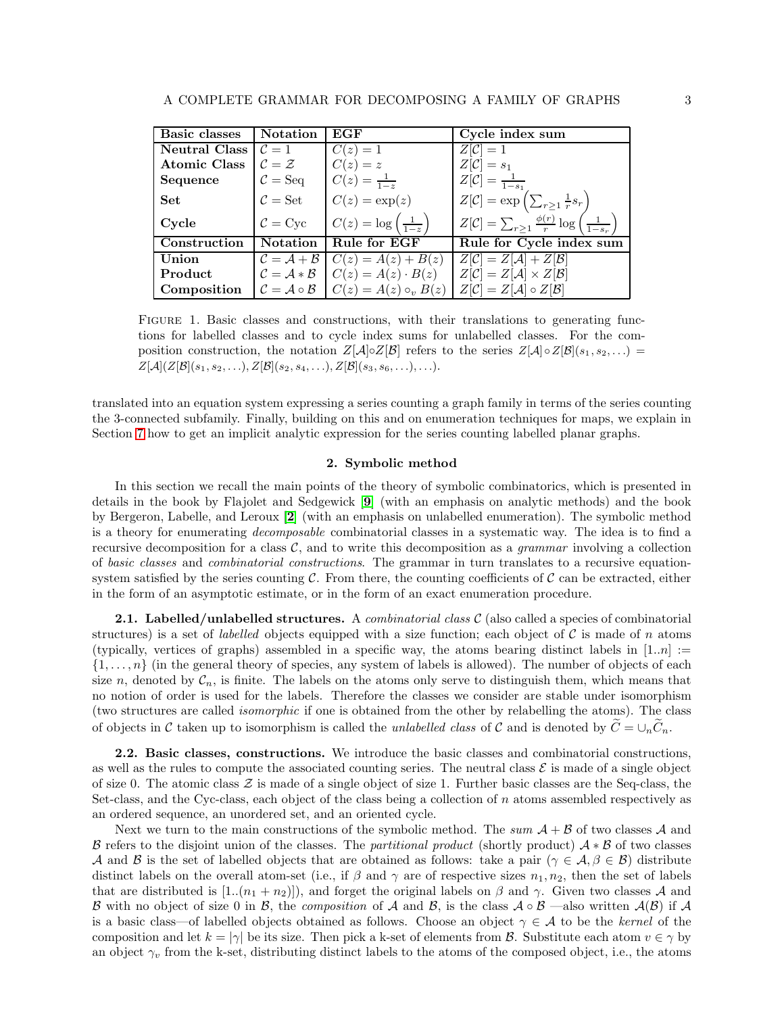| <b>Basic classes</b> | <b>Notation</b>                               | EGF                                                                | Cycle index sum                                                                            |
|----------------------|-----------------------------------------------|--------------------------------------------------------------------|--------------------------------------------------------------------------------------------|
| <b>Neutral Class</b> | $\mathcal{C}=1$                               | $C(z)=1$                                                           | $Z[\mathcal{C}]=1$                                                                         |
| <b>Atomic Class</b>  | $\mathcal{C} = \mathcal{Z}$                   | $C(z)=z$                                                           | $Z[\mathcal{C}] = s_1$                                                                     |
| Sequence             | $C = \text{Seq}$                              | $C(z) = \frac{1}{1-z}$                                             | $Z[\mathcal{C}] = \frac{1}{1-s_1}$                                                         |
| <b>Set</b>           | $\mathcal{C} = \mathbf{Set}$                  | $C(z) = \exp(z)$                                                   | $Z[\mathcal{C}] = \exp\left(\sum_{r\geq 1} \frac{1}{r} s_r\right)$                         |
| Cycle                | $\mathcal{C} = \text{Cyc}$                    | $C(z) = \log\left(\frac{1}{1-z}\right)$                            | $Z[\mathcal{C}] = \sum_{r \geq 1} \frac{\phi(r)}{r} \log \left( \frac{1}{1 - s_r} \right)$ |
| Construction         | <b>Notation</b>                               | Rule for EGF                                                       | Rule for Cycle index sum                                                                   |
| Union                | $C = A + B$                                   | $C(z) = A(z) + B(z)$                                               | $Z[\mathcal{C}] = Z[\mathcal{A}] + Z[\mathcal{B}]$                                         |
| Product              |                                               | $\mathcal{C} = \mathcal{A} * \mathcal{B}$ $C(z) = A(z) \cdot B(z)$ | $Z[\mathcal{C}] = Z[\mathcal{A}] \times Z[\mathcal{B}]$                                    |
| Composition          | $\mathcal{C} = \mathcal{A} \circ \mathcal{B}$ | $C(z) = A(z) \circ_v B(z)$                                         | $Z[\mathcal{C}] = Z[\mathcal{A}] \circ Z[\mathcal{B}]$                                     |

<span id="page-2-1"></span>FIGURE 1. Basic classes and constructions, with their translations to generating functions for labelled classes and to cycle index sums for unlabelled classes. For the composition construction, the notation  $Z[\mathcal{A}]\circ Z[\mathcal{B}]$  refers to the series  $Z[\mathcal{A}]\circ Z[\mathcal{B}](s_1, s_2, \ldots)$  $Z[\mathcal{A}](Z[\mathcal{B}](s_1, s_2, \ldots), Z[\mathcal{B}](s_2, s_4, \ldots), Z[\mathcal{B}](s_3, s_6, \ldots), \ldots).$ 

translated into an equation system expressing a series counting a graph family in terms of the series counting the 3-connected subfamily. Finally, building on this and on enumeration techniques for maps, we explain in Section [7](#page-15-0) how to get an implicit analytic expression for the series counting labelled planar graphs.

### 2. Symbolic method

<span id="page-2-0"></span>In this section we recall the main points of the theory of symbolic combinatorics, which is presented in details in the book by Flajolet and Sedgewick [[9](#page-24-7)] (with an emphasis on analytic methods) and the book by Bergeron, Labelle, and Leroux [[2](#page-24-12)] (with an emphasis on unlabelled enumeration). The symbolic method is a theory for enumerating *decomposable* combinatorial classes in a systematic way. The idea is to find a recursive decomposition for a class  $C$ , and to write this decomposition as a *grammar* involving a collection of *basic classes* and *combinatorial constructions*. The grammar in turn translates to a recursive equationsystem satisfied by the series counting  $\mathcal C$ . From there, the counting coefficients of  $\mathcal C$  can be extracted, either in the form of an asymptotic estimate, or in the form of an exact enumeration procedure.

2.1. Labelled/unlabelled structures. A *combinatorial class* C (also called a species of combinatorial structures) is a set of *labelled* objects equipped with a size function; each object of  $\mathcal C$  is made of n atoms (typically, vertices of graphs) assembled in a specific way, the atoms bearing distinct labels in  $[1..n] :=$  $\{1,\ldots,n\}$  (in the general theory of species, any system of labels is allowed). The number of objects of each size n, denoted by  $C_n$ , is finite. The labels on the atoms only serve to distinguish them, which means that no notion of order is used for the labels. Therefore the classes we consider are stable under isomorphism (two structures are called *isomorphic* if one is obtained from the other by relabelling the atoms). The class of objects in C taken up to isomorphism is called the *unlabelled class* of C and is denoted by  $C = \bigcup_n C_n$ .

2.2. Basic classes, constructions. We introduce the basic classes and combinatorial constructions, as well as the rules to compute the associated counting series. The neutral class  $\mathcal E$  is made of a single object of size 0. The atomic class  $\mathcal Z$  is made of a single object of size 1. Further basic classes are the Seq-class, the Set-class, and the Cyc-class, each object of the class being a collection of n atoms assembled respectively as an ordered sequence, an unordered set, and an oriented cycle.

Next we turn to the main constructions of the symbolic method. The  $sum \ A + B$  of two classes A and B refers to the disjoint union of the classes. The *partitional product* (shortly product) A ∗ B of two classes A and B is the set of labelled objects that are obtained as follows: take a pair ( $\gamma \in \mathcal{A}, \beta \in \mathcal{B}$ ) distribute distinct labels on the overall atom-set (i.e., if  $\beta$  and  $\gamma$  are of respective sizes  $n_1, n_2$ , then the set of labels that are distributed is  $[1..(n_1 + n_2)]$ , and forget the original labels on  $\beta$  and  $\gamma$ . Given two classes A and B with no object of size 0 in B, the *composition* of A and B, is the class  $A \circ B$  —also written  $A(B)$  if A is a basic class—of labelled objects obtained as follows. Choose an object  $\gamma \in \mathcal{A}$  to be the *kernel* of the composition and let  $k = |\gamma|$  be its size. Then pick a k-set of elements from B. Substitute each atom  $v \in \gamma$  by an object  $\gamma_v$  from the k-set, distributing distinct labels to the atoms of the composed object, i.e., the atoms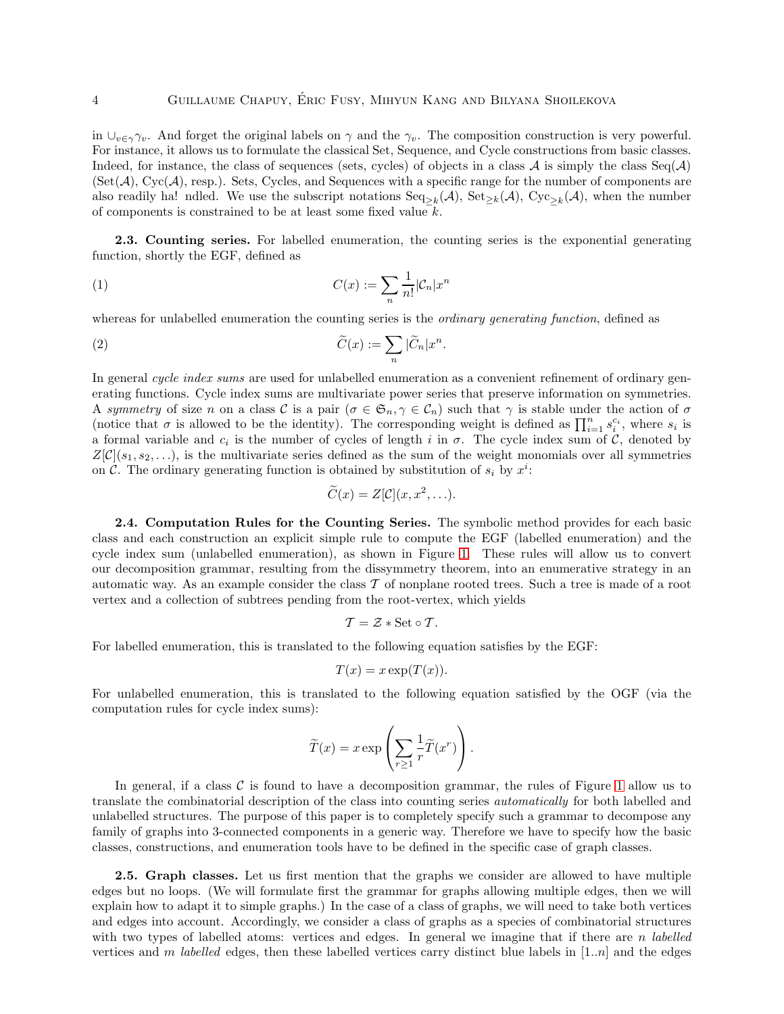in  $\bigcup_{v\in\gamma}\gamma_v$ . And forget the original labels on  $\gamma$  and the  $\gamma_v$ . The composition construction is very powerful. For instance, it allows us to formulate the classical Set, Sequence, and Cycle constructions from basic classes. Indeed, for instance, the class of sequences (sets, cycles) of objects in a class  $A$  is simply the class Seq( $A$ )  $(Set(\mathcal{A}), Cyc(\mathcal{A}),$  resp.). Sets, Cycles, and Sequences with a specific range for the number of components are also readily ha! ndled. We use the subscript notations  $\text{Seq}_{\geq k}(\mathcal{A}), \text{Set}_{\geq k}(\mathcal{A}), \text{Cyc}_{\geq k}(\mathcal{A}),$  when the number of components is constrained to be at least some fixed value k.

2.3. Counting series. For labelled enumeration, the counting series is the exponential generating function, shortly the EGF, defined as

(1) 
$$
C(x) := \sum_{n} \frac{1}{n!} |\mathcal{C}_n| x^n
$$

whereas for unlabelled enumeration the counting series is the *ordinary generating function*, defined as

(2) 
$$
\widetilde{C}(x) := \sum_{n} |\widetilde{C}_n| x^n.
$$

In general *cycle index sums* are used for unlabelled enumeration as a convenient refinement of ordinary generating functions. Cycle index sums are multivariate power series that preserve information on symmetries. A *symmetry* of size n on a class C is a pair  $(\sigma \in \mathfrak{S}_n, \gamma \in \mathcal{C}_n)$  such that  $\gamma$  is stable under the action of  $\sigma$ (notice that  $\sigma$  is allowed to be the identity). The corresponding weight is defined as  $\prod_{i=1}^n s_i^{c_i}$ , where  $s_i$  is a formal variable and  $c_i$  is the number of cycles of length i in  $\sigma$ . The cycle index sum of  $\mathcal{C}$ , denoted by  $Z[\mathcal{C}](s_1, s_2, \ldots)$ , is the multivariate series defined as the sum of the weight monomials over all symmetries on C. The ordinary generating function is obtained by substitution of  $s_i$  by  $x^i$ :

$$
\widetilde{C}(x) = Z[\mathcal{C}](x, x^2, \ldots).
$$

2.4. Computation Rules for the Counting Series. The symbolic method provides for each basic class and each construction an explicit simple rule to compute the EGF (labelled enumeration) and the cycle index sum (unlabelled enumeration), as shown in Figure [1.](#page-2-1) These rules will allow us to convert our decomposition grammar, resulting from the dissymmetry theorem, into an enumerative strategy in an automatic way. As an example consider the class  $T$  of nonplane rooted trees. Such a tree is made of a root vertex and a collection of subtrees pending from the root-vertex, which yields

$$
\mathcal{T}=\mathcal{Z}\ast\mathbf{Set}\circ\mathcal{T}.
$$

For labelled enumeration, this is translated to the following equation satisfies by the EGF:

$$
T(x) = x \exp(T(x)).
$$

For unlabelled enumeration, this is translated to the following equation satisfied by the OGF (via the computation rules for cycle index sums):

$$
\widetilde{T}(x) = x \exp\left(\sum_{r\geq 1} \frac{1}{r} \widetilde{T}(x^r)\right).
$$

In general, if a class  $\mathcal C$  is found to have a decomposition grammar, the rules of Figure [1](#page-2-1) allow us to translate the combinatorial description of the class into counting series *automatically* for both labelled and unlabelled structures. The purpose of this paper is to completely specify such a grammar to decompose any family of graphs into 3-connected components in a generic way. Therefore we have to specify how the basic classes, constructions, and enumeration tools have to be defined in the specific case of graph classes.

2.5. Graph classes. Let us first mention that the graphs we consider are allowed to have multiple edges but no loops. (We will formulate first the grammar for graphs allowing multiple edges, then we will explain how to adapt it to simple graphs.) In the case of a class of graphs, we will need to take both vertices and edges into account. Accordingly, we consider a class of graphs as a species of combinatorial structures with two types of labelled atoms: vertices and edges. In general we imagine that if there are *n labelled* vertices and m *labelled* edges, then these labelled vertices carry distinct blue labels in [1..n] and the edges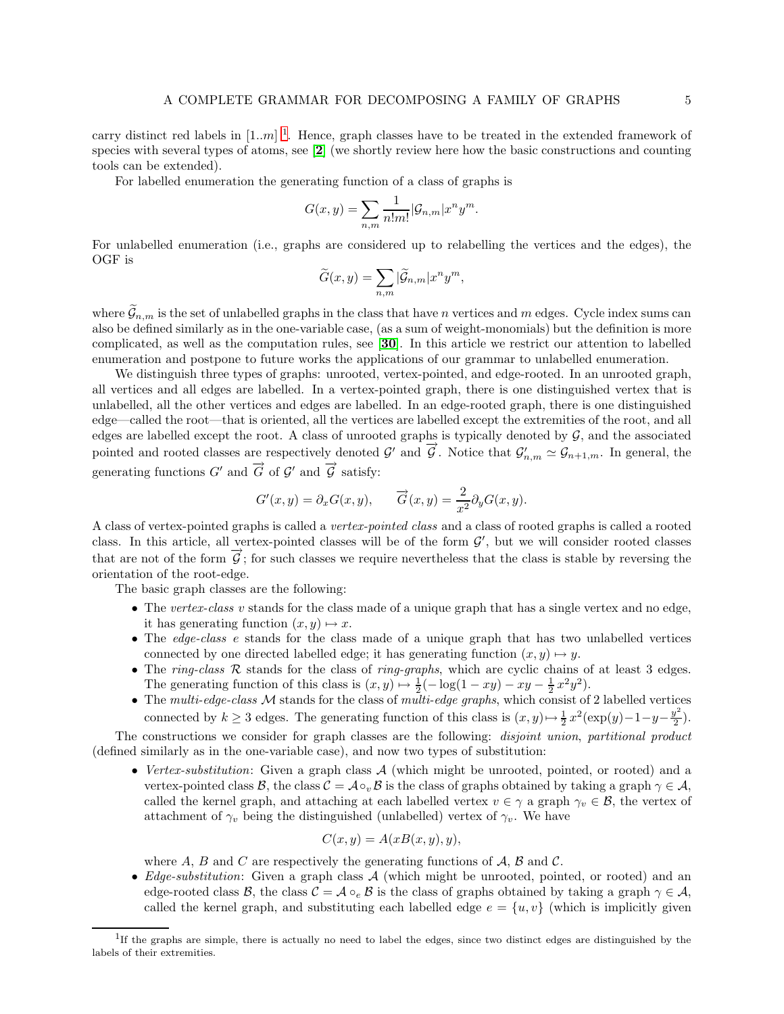carry distinct red labels in  $[1..m]$  $[1..m]$  $[1..m]$ <sup>1</sup>. Hence, graph classes have to be treated in the extended framework of species with several types of atoms, see [[2](#page-24-12)] (we shortly review here how the basic constructions and counting tools can be extended).

For labelled enumeration the generating function of a class of graphs is

$$
G(x,y) = \sum_{n,m} \frac{1}{n!m!} |\mathcal{G}_{n,m}| x^n y^m.
$$

For unlabelled enumeration (i.e., graphs are considered up to relabelling the vertices and the edges), the OGF is

$$
\widetilde{G}(x,y)=\sum_{n,m}|\widetilde{\mathcal{G}}_{n,m}|x^ny^m,
$$

where  $\mathcal{G}_{n,m}$  is the set of unlabelled graphs in the class that have n vertices and m edges. Cycle index sums can also be defined similarly as in the one-variable case, (as a sum of weight-monomials) but the definition is more complicated, as well as the computation rules, see [[30](#page-25-4)]. In this article we restrict our attention to labelled enumeration and postpone to future works the applications of our grammar to unlabelled enumeration.

We distinguish three types of graphs: unrooted, vertex-pointed, and edge-rooted. In an unrooted graph, all vertices and all edges are labelled. In a vertex-pointed graph, there is one distinguished vertex that is unlabelled, all the other vertices and edges are labelled. In an edge-rooted graph, there is one distinguished edge—called the root—that is oriented, all the vertices are labelled except the extremities of the root, and all edges are labelled except the root. A class of unrooted graphs is typically denoted by  $G$ , and the associated pointed and rooted classes are respectively denoted G' and  $\vec{G}$ . Notice that  $\mathcal{G}'_{n,m} \simeq \mathcal{G}_{n+1,m}$ . In general, the generating functions  $G'$  and  $\overrightarrow{G}$  of  $\mathcal{G}'$  and  $\overrightarrow{\mathcal{G}}$  satisfy:

$$
G'(x, y) = \partial_x G(x, y),
$$
  $\overrightarrow{G}(x, y) = \frac{2}{x^2} \partial_y G(x, y).$ 

A class of vertex-pointed graphs is called a *vertex-pointed class* and a class of rooted graphs is called a rooted class. In this article, all vertex-pointed classes will be of the form  $\mathcal{G}'$ , but we will consider rooted classes that are not of the form  $\vec{G}$ ; for such classes we require nevertheless that the class is stable by reversing the orientation of the root-edge.

The basic graph classes are the following:

- The *vertex-class* v stands for the class made of a unique graph that has a single vertex and no edge, it has generating function  $(x, y) \mapsto x$ .
- The *edge-class* e stands for the class made of a unique graph that has two unlabelled vertices connected by one directed labelled edge; it has generating function  $(x, y) \mapsto y$ .
- The *ring-class* R stands for the class of *ring-graphs*, which are cyclic chains of at least 3 edges. The generating function of this class is  $(x, y) \mapsto \frac{1}{2}(-\log(1 - xy) - xy - \frac{1}{2}x^2y^2)$ .
- The *multi-edge-class* M stands for the class of *multi-edge graphs*, which consist of 2 labelled vertices connected by  $k \geq 3$  edges. The generating function of this class is  $(x, y) \mapsto \frac{1}{2} x^2 (\exp(y) - 1 - y - \frac{y^2}{2})$  $\frac{y}{2}$ ).

The constructions we consider for graph classes are the following: *disjoint union*, *partitional product* (defined similarly as in the one-variable case), and now two types of substitution:

• *Vertex-substitution*: Given a graph class A (which might be unrooted, pointed, or rooted) and a vertex-pointed class  $\mathcal{B}$ , the class  $\mathcal{C} = \mathcal{A} \circ_{v} \mathcal{B}$  is the class of graphs obtained by taking a graph  $\gamma \in \mathcal{A}$ , called the kernel graph, and attaching at each labelled vertex  $v \in \gamma$  a graph  $\gamma_v \in \mathcal{B}$ , the vertex of attachment of  $\gamma_v$  being the distinguished (unlabelled) vertex of  $\gamma_v$ . We have

$$
C(x, y) = A(xB(x, y), y),
$$

where A, B and C are respectively the generating functions of  $\mathcal{A}, \mathcal{B}$  and C.

• *Edge-substitution*: Given a graph class A (which might be unrooted, pointed, or rooted) and an edge-rooted class B, the class  $C = \mathcal{A} \circ_e \mathcal{B}$  is the class of graphs obtained by taking a graph  $\gamma \in \mathcal{A}$ , called the kernel graph, and substituting each labelled edge  $e = \{u, v\}$  (which is implicitly given

<span id="page-4-0"></span><sup>&</sup>lt;sup>1</sup>If the graphs are simple, there is actually no need to label the edges, since two distinct edges are distinguished by the labels of their extremities.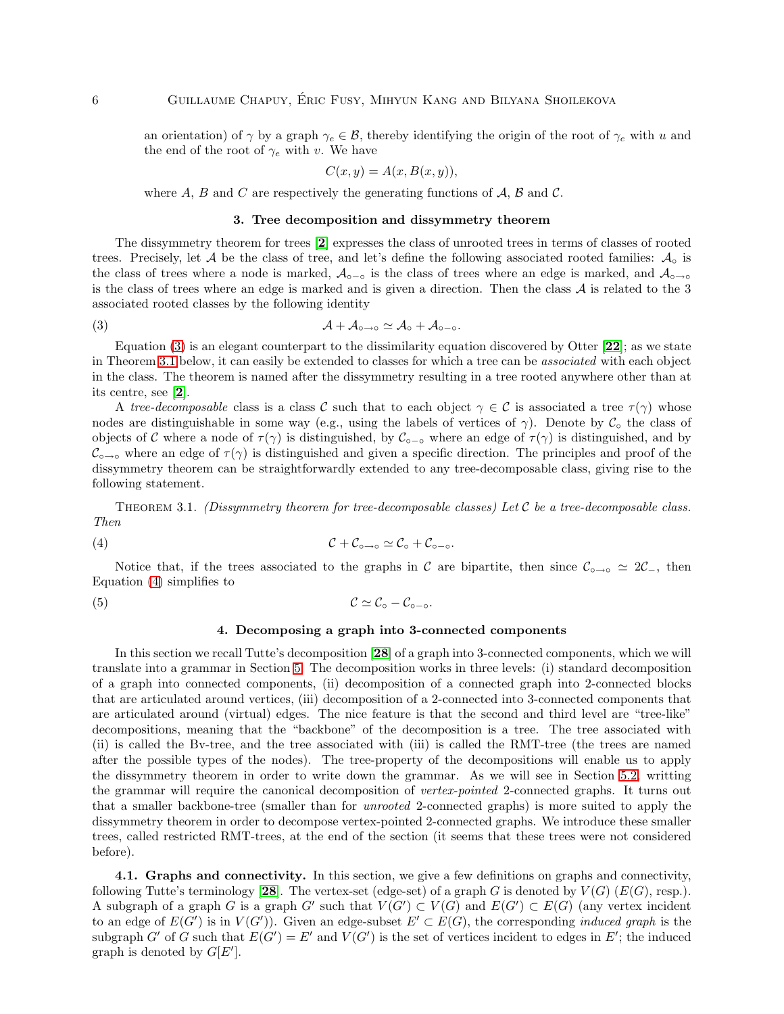an orientation) of  $\gamma$  by a graph  $\gamma_e \in \mathcal{B}$ , thereby identifying the origin of the root of  $\gamma_e$  with u and the end of the root of  $\gamma_e$  with v. We have

$$
C(x, y) = A(x, B(x, y)),
$$

where A, B and C are respectively the generating functions of  $\mathcal{A}, \mathcal{B}$  and C.

### <span id="page-5-2"></span>3. Tree decomposition and dissymmetry theorem

<span id="page-5-0"></span>The dissymmetry theorem for trees [[2](#page-24-12)] expresses the class of unrooted trees in terms of classes of rooted trees. Precisely, let  $A$  be the class of tree, and let's define the following associated rooted families:  $A_0$  is the class of trees where a node is marked,  $A_{\circ-\circ}$  is the class of trees where an edge is marked, and  $A_{\circ-\circ}$ is the class of trees where an edge is marked and is given a direction. Then the class  $A$  is related to the 3 associated rooted classes by the following identity

(3)  $A + A_{\circ \to \circ} \simeq A_{\circ} + A_{\circ - \circ}.$ 

Equation  $(3)$  is an elegant counterpart to the dissimilarity equation discovered by Otter  $[22]$  $[22]$  $[22]$ ; as we state in Theorem [3.1](#page-5-3) below, it can easily be extended to classes for which a tree can be *associated* with each object in the class. The theorem is named after the dissymmetry resulting in a tree rooted anywhere other than at its centre, see [[2](#page-24-12)].

A *tree-decomposable* class is a class C such that to each object  $\gamma \in C$  is associated a tree  $\tau(\gamma)$  whose nodes are distinguishable in some way (e.g., using the labels of vertices of  $\gamma$ ). Denote by  $\mathcal{C}_{\circ}$  the class of objects of C where a node of  $\tau(\gamma)$  is distinguished, by C<sub></sub><sub>0−</sub>° where an edge of  $\tau(\gamma)$  is distinguished, and by  $\mathcal{C}_{\circ\to\circ}$  where an edge of  $\tau(\gamma)$  is distinguished and given a specific direction. The principles and proof of the dissymmetry theorem can be straightforwardly extended to any tree-decomposable class, giving rise to the following statement.

<span id="page-5-3"></span>Theorem 3.1. *(Dissymmetry theorem for tree-decomposable classes) Let* C *be a tree-decomposable class. Then*

$$
(\mathbf{4}) \qquad \qquad \mathcal{C} + \mathcal{C}_{\circ \to \circ} \simeq \mathcal{C}_{\circ} + \mathcal{C}_{\circ -\circ}.
$$

Notice that, if the trees associated to the graphs in C are bipartite, then since  $\mathcal{C}_{\circ \to \circ} \simeq 2\mathcal{C}_{-}$ , then Equation [\(4\)](#page-5-4) simplifies to

<span id="page-5-1"></span>(5)  $\mathcal{C} \simeq \mathcal{C}_{\circ} - \mathcal{C}_{\circ -\circ}$ .

#### <span id="page-5-4"></span>4. Decomposing a graph into 3-connected components

In this section we recall Tutte's decomposition [[28](#page-25-1)] of a graph into 3-connected components, which we will translate into a grammar in Section [5.](#page-8-0) The decomposition works in three levels: (i) standard decomposition of a graph into connected components, (ii) decomposition of a connected graph into 2-connected blocks that are articulated around vertices, (iii) decomposition of a 2-connected into 3-connected components that are articulated around (virtual) edges. The nice feature is that the second and third level are "tree-like" decompositions, meaning that the "backbone" of the decomposition is a tree. The tree associated with (ii) is called the Bv-tree, and the tree associated with (iii) is called the RMT-tree (the trees are named after the possible types of the nodes). The tree-property of the decompositions will enable us to apply the dissymmetry theorem in order to write down the grammar. As we will see in Section [5.2,](#page-9-0) writting the grammar will require the canonical decomposition of *vertex-pointed* 2-connected graphs. It turns out that a smaller backbone-tree (smaller than for *unrooted* 2-connected graphs) is more suited to apply the dissymmetry theorem in order to decompose vertex-pointed 2-connected graphs. We introduce these smaller trees, called restricted RMT-trees, at the end of the section (it seems that these trees were not considered before).

4.1. Graphs and connectivity. In this section, we give a few definitions on graphs and connectivity, following Tutte's terminology [[28](#page-25-1)]. The vertex-set (edge-set) of a graph G is denoted by  $V(G)$  ( $E(G)$ , resp.). A subgraph of a graph G is a graph G' such that  $V(G') \subset V(G)$  and  $E(G') \subset E(G)$  (any vertex incident to an edge of  $E(G')$  is in  $V(G')$ ). Given an edge-subset  $E' \subset E(G)$ , the corresponding *induced graph* is the subgraph G' of G such that  $E(G') = E'$  and  $V(G')$  is the set of vertices incident to edges in E'; the induced graph is denoted by  $G[E']$ .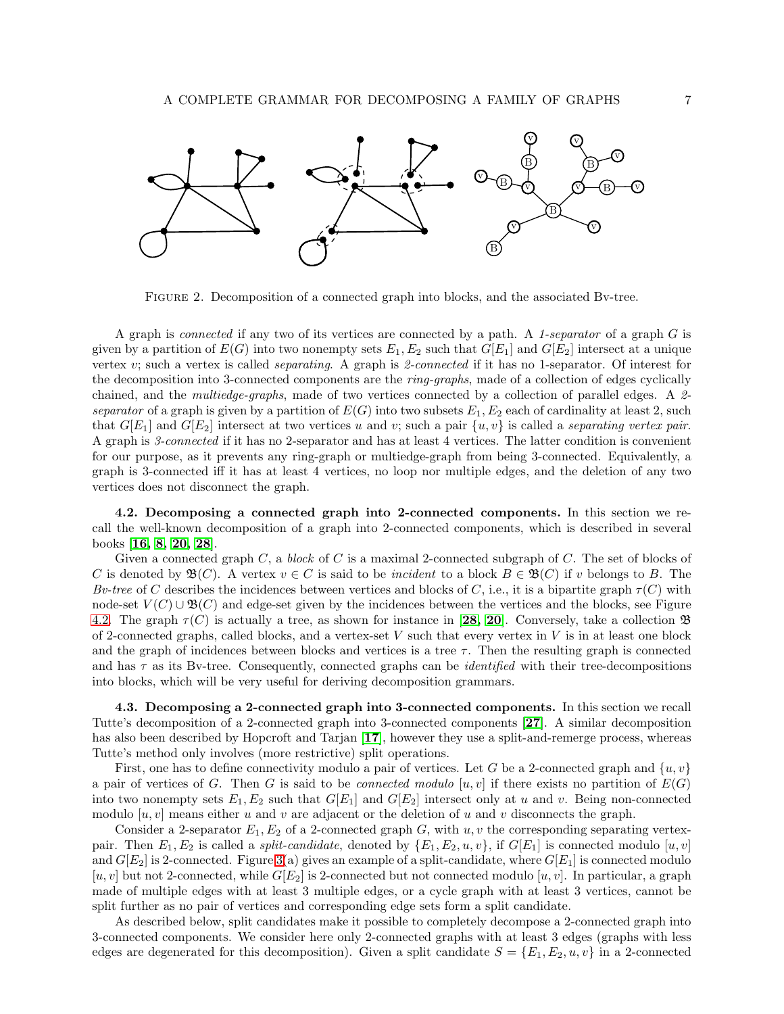

Figure 2. Decomposition of a connected graph into blocks, and the associated Bv-tree.

A graph is *connected* if any two of its vertices are connected by a path. A *1-separator* of a graph G is given by a partition of  $E(G)$  into two nonempty sets  $E_1, E_2$  such that  $G[E_1]$  and  $G[E_2]$  intersect at a unique vertex v; such a vertex is called *separating*. A graph is *2-connected* if it has no 1-separator. Of interest for the decomposition into 3-connected components are the *ring-graphs*, made of a collection of edges cyclically chained, and the *multiedge-graphs*, made of two vertices connected by a collection of parallel edges. A *2 separator* of a graph is given by a partition of  $E(G)$  into two subsets  $E_1, E_2$  each of cardinality at least 2, such that  $G[E_1]$  and  $G[E_2]$  intersect at two vertices u and v; such a pair  $\{u, v\}$  is called a *separating vertex pair*. A graph is *3-connected* if it has no 2-separator and has at least 4 vertices. The latter condition is convenient for our purpose, as it prevents any ring-graph or multiedge-graph from being 3-connected. Equivalently, a graph is 3-connected iff it has at least 4 vertices, no loop nor multiple edges, and the deletion of any two vertices does not disconnect the graph.

<span id="page-6-0"></span>4.2. Decomposing a connected graph into 2-connected components. In this section we recall the well-known decomposition of a graph into 2-connected components, which is described in several books [[16,](#page-24-14) [8,](#page-24-15) [20,](#page-24-16) [28](#page-25-1)].

Given a connected graph C, a *block* of C is a maximal 2-connected subgraph of C. The set of blocks of C is denoted by  $\mathfrak{B}(C)$ . A vertex  $v \in C$  is said to be *incident* to a block  $B \in \mathfrak{B}(C)$  if v belongs to B. The *Bv-tree* of C describes the incidences between vertices and blocks of C, i.e., it is a bipartite graph  $\tau(C)$  with node-set  $V(C) \cup \mathfrak{B}(C)$  and edge-set given by the incidences between the vertices and the blocks, see Figure [4.2.](#page-6-0) The graph  $\tau(C)$  is actually a tree, as shown for instance in [[28,](#page-25-1) [20](#page-24-16)]. Conversely, take a collection  $\mathfrak{B}$ of 2-connected graphs, called blocks, and a vertex-set  $V$  such that every vertex in  $V$  is in at least one block and the graph of incidences between blocks and vertices is a tree  $\tau$ . Then the resulting graph is connected and has  $\tau$  as its By-tree. Consequently, connected graphs can be *identified* with their tree-decompositions into blocks, which will be very useful for deriving decomposition grammars.

4.3. Decomposing a 2-connected graph into 3-connected components. In this section we recall Tutte's decomposition of a 2-connected graph into 3-connected components [[27](#page-25-0)]. A similar decomposition has also been described by Hopcroft and Tarjan [[17](#page-24-17)], however they use a split-and-remerge process, whereas Tutte's method only involves (more restrictive) split operations.

First, one has to define connectivity modulo a pair of vertices. Let G be a 2-connected graph and  $\{u, v\}$ a pair of vertices of G. Then G is said to be *connected modulo* [u, v] if there exists no partition of  $E(G)$ into two nonempty sets  $E_1, E_2$  such that  $G[E_1]$  and  $G[E_2]$  intersect only at u and v. Being non-connected modulo  $[u, v]$  means either u and v are adjacent or the deletion of u and v disconnects the graph.

Consider a 2-separator  $E_1, E_2$  of a 2-connected graph G, with u, v the corresponding separating vertexpair. Then  $E_1, E_2$  is called a *split-candidate*, denoted by  $\{E_1, E_2, u, v\}$ , if  $G[E_1]$  is connected modulo  $[u, v]$ and  $G[E_2]$  is 2-connected. Figure [3\(](#page-7-0)a) gives an example of a split-candidate, where  $G[E_1]$  is connected modulo  $[u, v]$  but not 2-connected, while  $G[E_2]$  is 2-connected but not connected modulo  $[u, v]$ . In particular, a graph made of multiple edges with at least 3 multiple edges, or a cycle graph with at least 3 vertices, cannot be split further as no pair of vertices and corresponding edge sets form a split candidate.

As described below, split candidates make it possible to completely decompose a 2-connected graph into 3-connected components. We consider here only 2-connected graphs with at least 3 edges (graphs with less edges are degenerated for this decomposition). Given a split candidate  $S = \{E_1, E_2, u, v\}$  in a 2-connected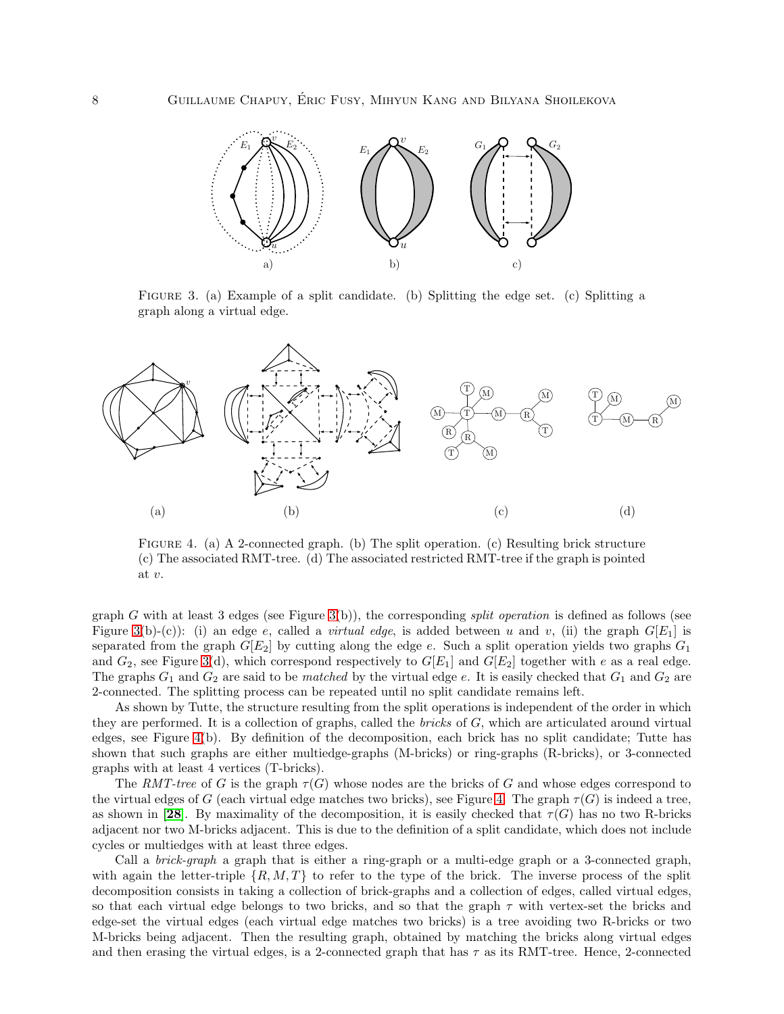

<span id="page-7-0"></span>Figure 3. (a) Example of a split candidate. (b) Splitting the edge set. (c) Splitting a graph along a virtual edge.



<span id="page-7-1"></span>FIGURE 4. (a) A 2-connected graph. (b) The split operation. (c) Resulting brick structure (c) The associated RMT-tree. (d) The associated restricted RMT-tree if the graph is pointed at v.

graph G with at least 3 edges (see Figure [3\(](#page-7-0)b)), the corresponding *split operation* is defined as follows (see Figure [3\(](#page-7-0)b)-(c)): (i) an edge e, called a *virtual edge*, is added between u and v, (ii) the graph  $G[E_1]$  is separated from the graph  $G[E_2]$  by cutting along the edge e. Such a split operation yields two graphs  $G_1$ and  $G_2$ , see Figure [3\(](#page-7-0)d), which correspond respectively to  $G[E_1]$  and  $G[E_2]$  together with e as a real edge. The graphs  $G_1$  and  $G_2$  are said to be *matched* by the virtual edge e. It is easily checked that  $G_1$  and  $G_2$  are 2-connected. The splitting process can be repeated until no split candidate remains left.

As shown by Tutte, the structure resulting from the split operations is independent of the order in which they are performed. It is a collection of graphs, called the *bricks* of G, which are articulated around virtual edges, see Figure [4\(](#page-7-1)b). By definition of the decomposition, each brick has no split candidate; Tutte has shown that such graphs are either multiedge-graphs (M-bricks) or ring-graphs (R-bricks), or 3-connected graphs with at least 4 vertices (T-bricks).

The *RMT-tree* of G is the graph  $\tau(G)$  whose nodes are the bricks of G and whose edges correspond to the virtual edges of G (each virtual edge matches two bricks), see Figure [4.](#page-7-1) The graph  $\tau(G)$  is indeed a tree, as shown in [[28](#page-25-1)]. By maximality of the decomposition, it is easily checked that  $\tau(G)$  has no two R-bricks adjacent nor two M-bricks adjacent. This is due to the definition of a split candidate, which does not include cycles or multiedges with at least three edges.

Call a *brick-graph* a graph that is either a ring-graph or a multi-edge graph or a 3-connected graph, with again the letter-triple  $\{R, M, T\}$  to refer to the type of the brick. The inverse process of the split decomposition consists in taking a collection of brick-graphs and a collection of edges, called virtual edges, so that each virtual edge belongs to two bricks, and so that the graph  $\tau$  with vertex-set the bricks and edge-set the virtual edges (each virtual edge matches two bricks) is a tree avoiding two R-bricks or two M-bricks being adjacent. Then the resulting graph, obtained by matching the bricks along virtual edges and then erasing the virtual edges, is a 2-connected graph that has  $\tau$  as its RMT-tree. Hence, 2-connected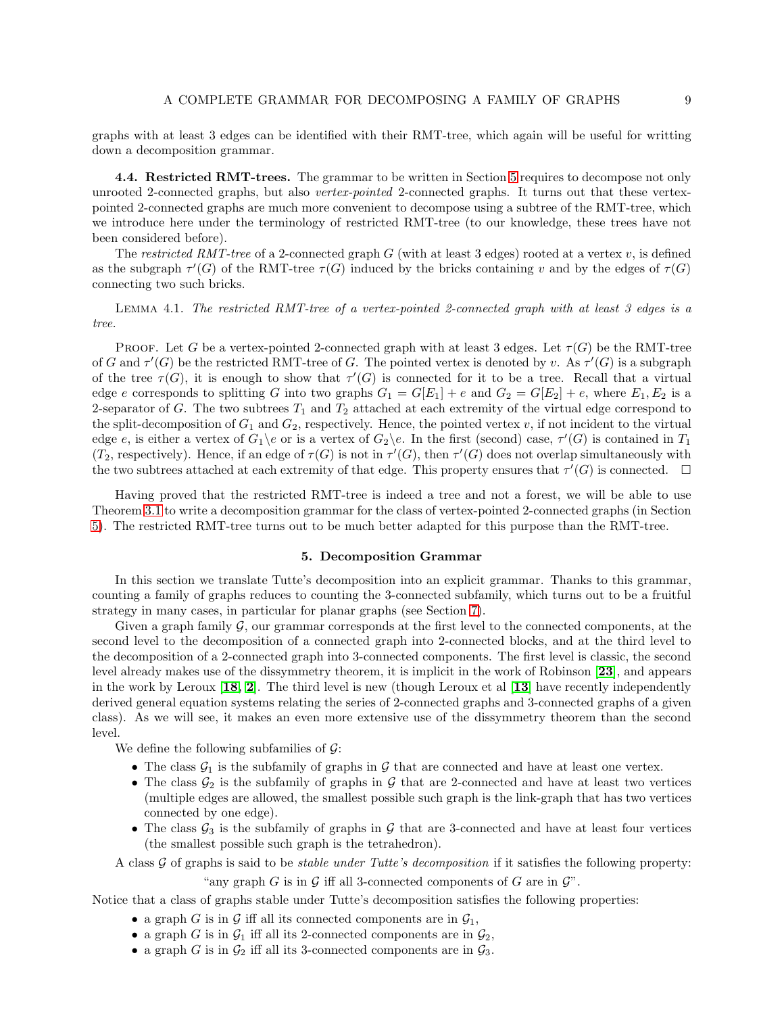graphs with at least 3 edges can be identified with their RMT-tree, which again will be useful for writting down a decomposition grammar.

<span id="page-8-1"></span>**4.4. Restricted RMT-trees.** The grammar to be written in Section [5](#page-8-0) requires to decompose not only unrooted 2-connected graphs, but also *vertex-pointed* 2-connected graphs. It turns out that these vertexpointed 2-connected graphs are much more convenient to decompose using a subtree of the RMT-tree, which we introduce here under the terminology of restricted RMT-tree (to our knowledge, these trees have not been considered before).

The *restricted RMT-tree* of a 2-connected graph  $G$  (with at least 3 edges) rooted at a vertex  $v$ , is defined as the subgraph  $\tau'(G)$  of the RMT-tree  $\tau(G)$  induced by the bricks containing v and by the edges of  $\tau(G)$ connecting two such bricks.

Lemma 4.1. *The restricted RMT-tree of a vertex-pointed 2-connected graph with at least 3 edges is a tree.*

**PROOF.** Let G be a vertex-pointed 2-connected graph with at least 3 edges. Let  $\tau(G)$  be the RMT-tree of G and  $\tau'(G)$  be the restricted RMT-tree of G. The pointed vertex is denoted by v. As  $\tau'(G)$  is a subgraph of the tree  $\tau(G)$ , it is enough to show that  $\tau'(G)$  is connected for it to be a tree. Recall that a virtual edge e corresponds to splitting G into two graphs  $G_1 = G[E_1] + e$  and  $G_2 = G[E_2] + e$ , where  $E_1, E_2$  is a 2-separator of G. The two subtrees  $T_1$  and  $T_2$  attached at each extremity of the virtual edge correspond to the split-decomposition of  $G_1$  and  $G_2$ , respectively. Hence, the pointed vertex v, if not incident to the virtual edge e, is either a vertex of  $G_1 \backslash e$  or is a vertex of  $G_2 \backslash e$ . In the first (second) case,  $\tau'(G)$  is contained in  $T_1$ (T<sub>2</sub>, respectively). Hence, if an edge of  $\tau(G)$  is not in  $\tau'(G)$ , then  $\tau'(G)$  does not overlap simultaneously with the two subtrees attached at each extremity of that edge. This property ensures that  $\tau'(G)$  is connected.  $\Box$ 

Having proved that the restricted RMT-tree is indeed a tree and not a forest, we will be able to use Theorem [3.1](#page-5-3) to write a decomposition grammar for the class of vertex-pointed 2-connected graphs (in Section [5\)](#page-8-0). The restricted RMT-tree turns out to be much better adapted for this purpose than the RMT-tree.

#### 5. Decomposition Grammar

<span id="page-8-0"></span>In this section we translate Tutte's decomposition into an explicit grammar. Thanks to this grammar, counting a family of graphs reduces to counting the 3-connected subfamily, which turns out to be a fruitful strategy in many cases, in particular for planar graphs (see Section [7\)](#page-15-0).

Given a graph family  $G$ , our grammar corresponds at the first level to the connected components, at the second level to the decomposition of a connected graph into 2-connected blocks, and at the third level to the decomposition of a 2-connected graph into 3-connected components. The first level is classic, the second level already makes use of the dissymmetry theorem, it is implicit in the work of Robinson [[23](#page-24-18)], and appears in the work by Leroux  $[18, 2]$  $[18, 2]$  $[18, 2]$  $[18, 2]$ . The third level is new (though Leroux et al  $[13]$  $[13]$  $[13]$  have recently independently derived general equation systems relating the series of 2-connected graphs and 3-connected graphs of a given class). As we will see, it makes an even more extensive use of the dissymmetry theorem than the second level.

We define the following subfamilies of  $\mathcal{G}$ :

- The class  $G_1$  is the subfamily of graphs in G that are connected and have at least one vertex.
- The class  $\mathcal{G}_2$  is the subfamily of graphs in  $\mathcal G$  that are 2-connected and have at least two vertices (multiple edges are allowed, the smallest possible such graph is the link-graph that has two vertices connected by one edge).
- The class  $\mathcal{G}_3$  is the subfamily of graphs in G that are 3-connected and have at least four vertices (the smallest possible such graph is the tetrahedron).

A class G of graphs is said to be *stable under Tutte's decomposition* if it satisfies the following property:

"any graph G is in  $\mathcal G$  iff all 3-connected components of G are in  $\mathcal G$ ".

Notice that a class of graphs stable under Tutte's decomposition satisfies the following properties:

- a graph G is in G iff all its connected components are in  $\mathcal{G}_1$ ,
- a graph G is in  $\mathcal{G}_1$  iff all its 2-connected components are in  $\mathcal{G}_2$ ,
- a graph G is in  $\mathcal{G}_2$  iff all its 3-connected components are in  $\mathcal{G}_3$ .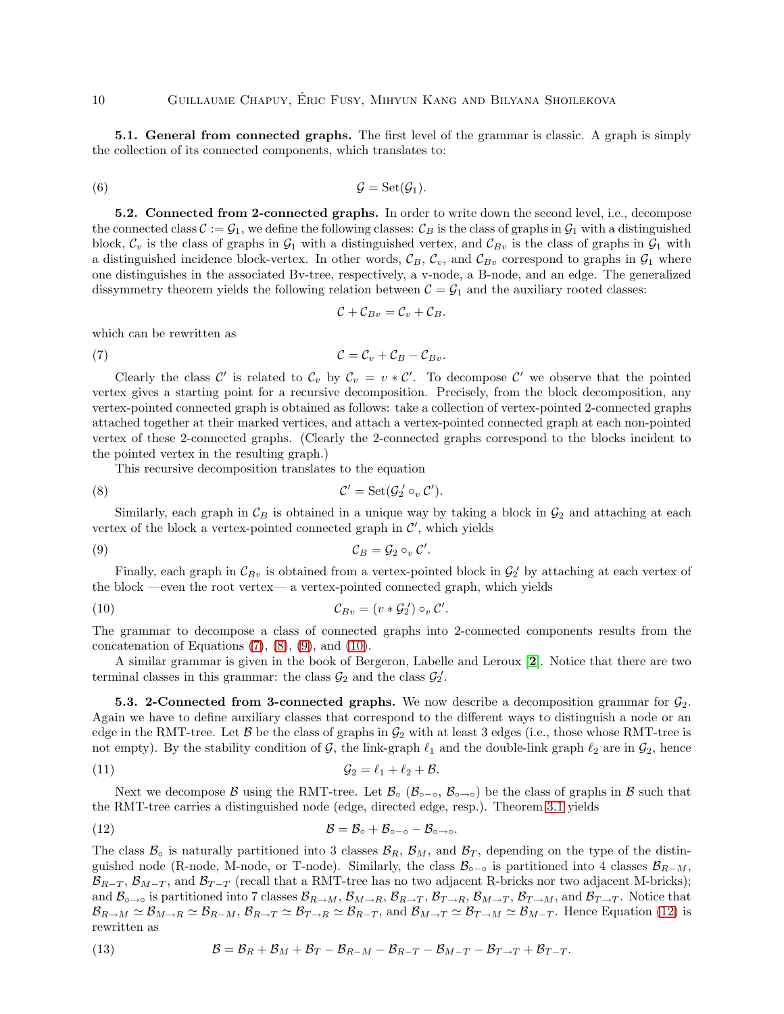5.1. General from connected graphs. The first level of the grammar is classic. A graph is simply the collection of its connected components, which translates to:

<span id="page-9-0"></span>(6) G = Set(G1).

5.2. Connected from 2-connected graphs. In order to write down the second level, i.e., decompose the connected class  $\mathcal{C} := \mathcal{G}_1$ , we define the following classes:  $\mathcal{C}_B$  is the class of graphs in  $\mathcal{G}_1$  with a distinguished block,  $C_v$  is the class of graphs in  $\mathcal{G}_1$  with a distinguished vertex, and  $C_{Bv}$  is the class of graphs in  $\mathcal{G}_1$  with a distinguished incidence block-vertex. In other words,  $\mathcal{C}_B$ ,  $\mathcal{C}_v$ , and  $\mathcal{C}_{Bv}$  correspond to graphs in  $\mathcal{G}_1$  where one distinguishes in the associated Bv-tree, respectively, a v-node, a B-node, and an edge. The generalized dissymmetry theorem yields the following relation between  $C = G_1$  and the auxiliary rooted classes:

<span id="page-9-1"></span>
$$
\mathcal{C}+\mathcal{C}_{Bv}=\mathcal{C}_v+\mathcal{C}_B.
$$

which can be rewritten as

$$
C = C_v + C_B - C_{Bv}.
$$

Clearly the class C' is related to  $C_v$  by  $C_v = v * C'$ . To decompose C' we observe that the pointed vertex gives a starting point for a recursive decomposition. Precisely, from the block decomposition, any vertex-pointed connected graph is obtained as follows: take a collection of vertex-pointed 2-connected graphs attached together at their marked vertices, and attach a vertex-pointed connected graph at each non-pointed vertex of these 2-connected graphs. (Clearly the 2-connected graphs correspond to the blocks incident to the pointed vertex in the resulting graph.)

This recursive decomposition translates to the equation

(8) 
$$
\mathcal{C}' = \operatorname{Set}(\mathcal{G}'_2 \circ_v \mathcal{C}').
$$

Similarly, each graph in  $\mathcal{C}_B$  is obtained in a unique way by taking a block in  $\mathcal{G}_2$  and attaching at each vertex of the block a vertex-pointed connected graph in  $\mathcal{C}',$  which yields

$$
C_B = \mathcal{G}_2 \circ_v \mathcal{C}'.
$$

Finally, each graph in  $\mathcal{C}_{Bv}$  is obtained from a vertex-pointed block in  $\mathcal{G}_2$  by attaching at each vertex of the block —even the root vertex— a vertex-pointed connected graph, which yields

$$
C_{Bv} = (v * \mathcal{G}_2') \circ_v C'
$$

The grammar to decompose a class of connected graphs into 2-connected components results from the concatenation of Equations  $(7)$ ,  $(8)$ ,  $(9)$ , and  $(10)$ .

<span id="page-9-7"></span><span id="page-9-4"></span><span id="page-9-3"></span><span id="page-9-2"></span>.

A similar grammar is given in the book of Bergeron, Labelle and Leroux [[2](#page-24-12)]. Notice that there are two terminal classes in this grammar: the class  $\mathcal{G}_2$  and the class  $\mathcal{G}_2'$ .

5.3. 2-Connected from 3-connected graphs. We now describe a decomposition grammar for  $\mathcal{G}_2$ . Again we have to define auxiliary classes that correspond to the different ways to distinguish a node or an edge in the RMT-tree. Let  $\beta$  be the class of graphs in  $\mathcal{G}_2$  with at least 3 edges (i.e., those whose RMT-tree is not empty). By the stability condition of G, the link-graph  $\ell_1$  and the double-link graph  $\ell_2$  are in  $\mathcal{G}_2$ , hence

$$
G_2 = \ell_1 + \ell_2 + \mathcal{B}.
$$

Next we decompose B using the RMT-tree. Let  $\mathcal{B} \circ (\mathcal{B}_{\circ} \circ \mathcal{B}_{\circ} \circ \circ)$  be the class of graphs in B such that the RMT-tree carries a distinguished node (edge, directed edge, resp.). Theorem [3.1](#page-5-3) yields

<span id="page-9-5"></span>(12) 
$$
\mathcal{B} = \mathcal{B}_{\circ} + \mathcal{B}_{\circ - \circ} - \mathcal{B}_{\circ \to \circ}.
$$

The class  $\mathcal{B}_{\rm o}$  is naturally partitioned into 3 classes  $\mathcal{B}_R$ ,  $\mathcal{B}_M$ , and  $\mathcal{B}_T$ , depending on the type of the distinguished node (R-node, M-node, or T-node). Similarly, the class  $\mathcal{B}_{\sigma-\sigma}$  is partitioned into 4 classes  $\mathcal{B}_{R-M}$ ,  $\mathcal{B}_{R-T}$ ,  $\mathcal{B}_{M-T}$ , and  $\mathcal{B}_{T-T}$  (recall that a RMT-tree has no two adjacent R-bricks nor two adjacent M-bricks); and  $\mathcal{B}_{\circ\to\circ}$  is partitioned into 7 classes  $\mathcal{B}_{R\to M}$ ,  $\mathcal{B}_{M\to R}$ ,  $\mathcal{B}_{R\to T}$ ,  $\mathcal{B}_{T\to R}$ ,  $\mathcal{B}_{M\to T}$ ,  $\mathcal{B}_{T\to M}$ , and  $\mathcal{B}_{T\to T}$ . Notice that  $\mathcal{B}_{R\to M}\simeq\mathcal{B}_{M\to R}\simeq\mathcal{B}_{R\to M}\simeq\mathcal{B}_{T\to R}\simeq\mathcal{B}_{R\to T}$ , and  $\mathcal{B}_{M\to T}\simeq\mathcal{B}_{T\to M}\simeq\mathcal{B}_{M\to T}$ . Hence Equation [\(12\)](#page-9-5) is rewritten as

<span id="page-9-6"></span>(13) 
$$
\mathcal{B} = \mathcal{B}_R + \mathcal{B}_M + \mathcal{B}_T - \mathcal{B}_{R-M} - \mathcal{B}_{R-T} - \mathcal{B}_{M-T} - \mathcal{B}_{T\rightarrow T} + \mathcal{B}_{T-T}.
$$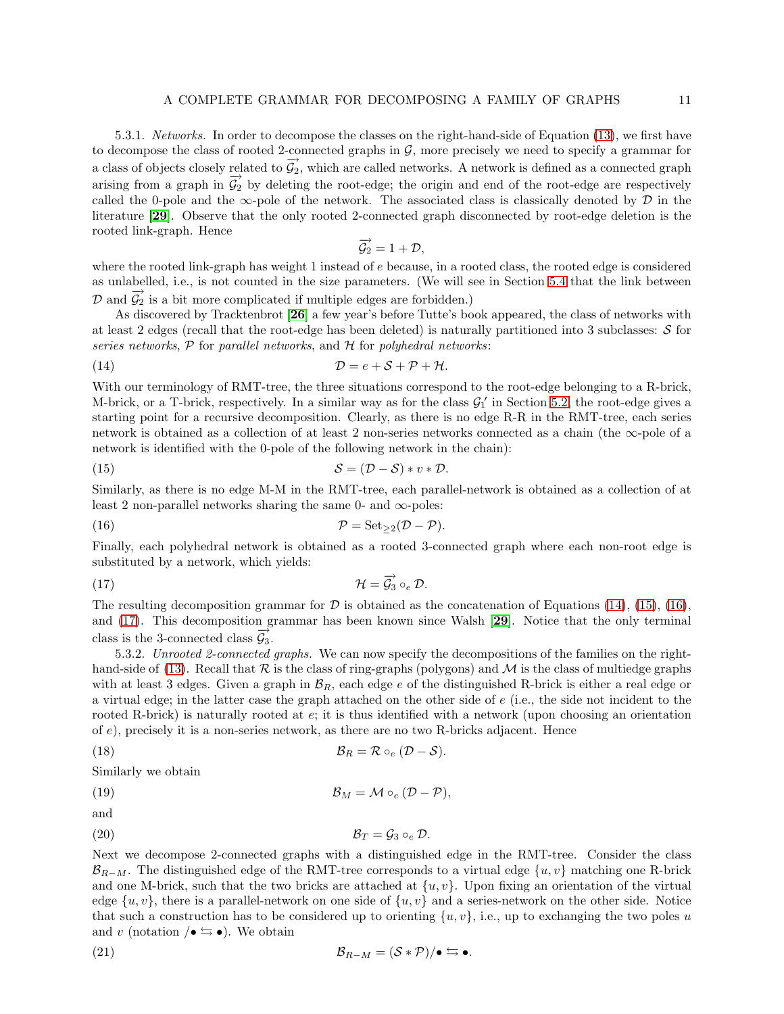5.3.1. *Networks.* In order to decompose the classes on the right-hand-side of Equation [\(13\)](#page-9-6), we first have to decompose the class of rooted 2-connected graphs in  $\mathcal{G}$ , more precisely we need to specify a grammar for a class of objects closely related to  $\overrightarrow{\mathcal{G}_2}$ , which are called networks. A network is defined as a connected graph arising from a graph in  $\vec{G}_2$  by deleting the root-edge; the origin and end of the root-edge are respectively called the 0-pole and the  $\infty$ -pole of the network. The associated class is classically denoted by  $\mathcal D$  in the literature [[29](#page-25-5)]. Observe that the only rooted 2-connected graph disconnected by root-edge deletion is the rooted link-graph. Hence

<span id="page-10-1"></span><span id="page-10-0"></span>
$$
\overrightarrow{\mathcal{G}_2}=1+\mathcal{D},
$$

where the rooted link-graph has weight 1 instead of e because, in a rooted class, the rooted edge is considered as unlabelled, i.e., is not counted in the size parameters. (We will see in Section [5.4](#page-11-0) that the link between  $\mathcal{D}$  and  $\overrightarrow{\mathcal{G}_2}$  is a bit more complicated if multiple edges are forbidden.)

As discovered by Tracktenbrot [[26](#page-25-6)] a few year's before Tutte's book appeared, the class of networks with at least 2 edges (recall that the root-edge has been deleted) is naturally partitioned into 3 subclasses:  $S$  for *series networks*, P for *parallel networks*, and H for *polyhedral networks*:

(14) 
$$
\mathcal{D} = e + \mathcal{S} + \mathcal{P} + \mathcal{H}.
$$

With our terminology of RMT-tree, the three situations correspond to the root-edge belonging to a R-brick, M-brick, or a T-brick, respectively. In a similar way as for the class  $G_1'$  in Section [5.2,](#page-9-0) the root-edge gives a starting point for a recursive decomposition. Clearly, as there is no edge R-R in the RMT-tree, each series network is obtained as a collection of at least 2 non-series networks connected as a chain (the ∞-pole of a network is identified with the 0-pole of the following network in the chain):

(15) 
$$
S = (\mathcal{D} - \mathcal{S}) * v * \mathcal{D}.
$$

Similarly, as there is no edge M-M in the RMT-tree, each parallel-network is obtained as a collection of at least 2 non-parallel networks sharing the same 0- and  $\infty$ -poles:

<span id="page-10-2"></span>(16) 
$$
\mathcal{P} = \text{Set}_{\geq 2}(\mathcal{D} - \mathcal{P}).
$$

Finally, each polyhedral network is obtained as a rooted 3-connected graph where each non-root edge is substituted by a network, which yields:

<span id="page-10-3"></span>(17) 
$$
\mathcal{H} = \overrightarrow{\mathcal{G}_3} \circ_e \mathcal{D}.
$$

The resulting decomposition grammar for  $D$  is obtained as the concatenation of Equations [\(14\)](#page-10-0), [\(15\)](#page-10-1), [\(16\)](#page-10-2), and [\(17\)](#page-10-3). This decomposition grammar has been known since Walsh [[29](#page-25-5)]. Notice that the only terminal class is the 3-connected class  $\mathcal{G}_3$ .

5.3.2. *Unrooted 2-connected graphs.* We can now specify the decompositions of the families on the right-hand-side of [\(13\)](#page-9-6). Recall that  $R$  is the class of ring-graphs (polygons) and  $M$  is the class of multiedge graphs with at least 3 edges. Given a graph in  $\mathcal{B}_R$ , each edge e of the distinguished R-brick is either a real edge or a virtual edge; in the latter case the graph attached on the other side of e (i.e., the side not incident to the rooted R-brick) is naturally rooted at e; it is thus identified with a network (upon choosing an orientation of e), precisely it is a non-series network, as there are no two R-bricks adjacent. Hence

(18) 
$$
\mathcal{B}_R = \mathcal{R} \circ_e (\mathcal{D} - \mathcal{S}).
$$

Similarly we obtain

(19) 
$$
\mathcal{B}_M = \mathcal{M} \circ_e (\mathcal{D} - \mathcal{P}),
$$

and

(20) B<sup>T</sup> = G<sup>3</sup> ◦<sup>e</sup> D.

Next we decompose 2-connected graphs with a distinguished edge in the RMT-tree. Consider the class  $\mathcal{B}_{R-M}$ . The distinguished edge of the RMT-tree corresponds to a virtual edge  $\{u, v\}$  matching one R-brick and one M-brick, such that the two bricks are attached at  $\{u, v\}$ . Upon fixing an orientation of the virtual edge  $\{u, v\}$ , there is a parallel-network on one side of  $\{u, v\}$  and a series-network on the other side. Notice that such a construction has to be considered up to orienting  $\{u, v\}$ , i.e., up to exchanging the two poles u and v (notation  $\sqrt{\bullet} \leftrightarrows \bullet$ ). We obtain

(21) 
$$
\mathcal{B}_{R-M} = (\mathcal{S} * \mathcal{P})/\bullet \leftrightarrows \bullet.
$$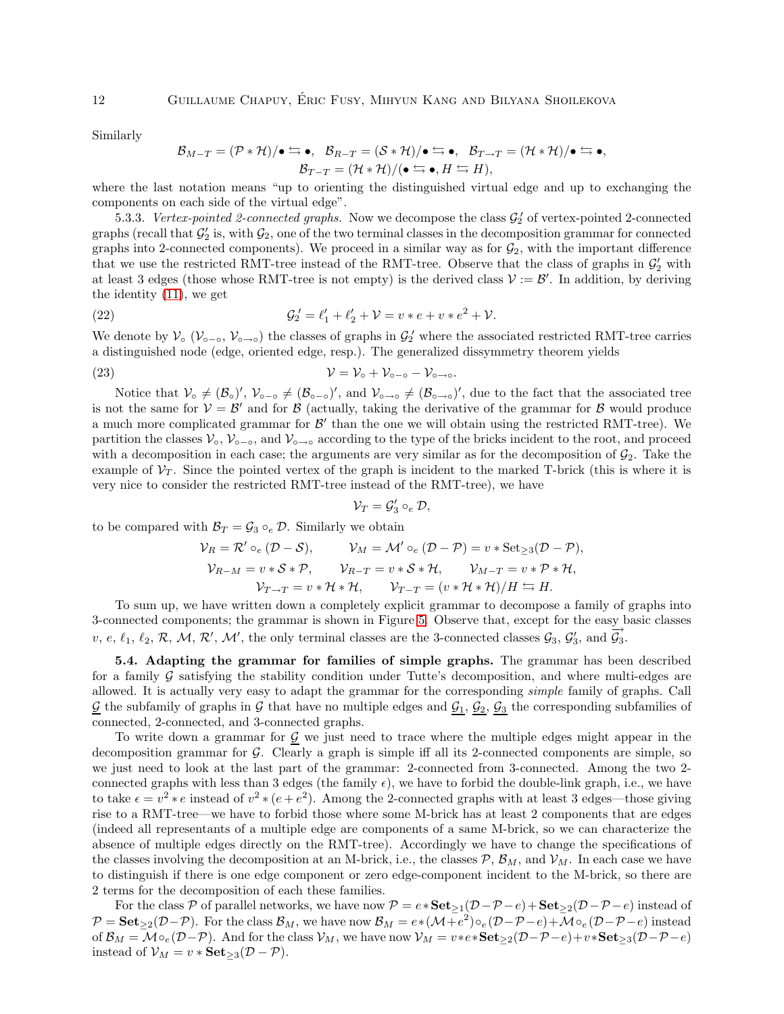Similarly

$$
\mathcal{B}_{M-T} = (\mathcal{P} * \mathcal{H})/\bullet \leftrightarrows \bullet, \ \ \mathcal{B}_{R-T} = (\mathcal{S} * \mathcal{H})/\bullet \leftrightarrows \bullet, \ \ \mathcal{B}_{T \to T} = (\mathcal{H} * \mathcal{H})/\bullet \leftrightarrows \bullet, \ \ \mathcal{B}_{T-T} = (\mathcal{H} * \mathcal{H})/(\bullet \leftrightarrows \bullet, H \leftrightarrows H),
$$

where the last notation means "up to orienting the distinguished virtual edge and up to exchanging the components on each side of the virtual edge".

<span id="page-11-1"></span>5.3.3. *Vertex-pointed 2-connected graphs.* Now we decompose the class  $\mathcal{G}'_2$  of vertex-pointed 2-connected graphs (recall that  $\mathcal{G}'_2$  is, with  $\mathcal{G}_2$ , one of the two terminal classes in the decomposition grammar for connected graphs into 2-connected components). We proceed in a similar way as for  $\mathcal{G}_2$ , with the important difference that we use the restricted RMT-tree instead of the RMT-tree. Observe that the class of graphs in  $\mathcal{G}'_2$  with at least 3 edges (those whose RMT-tree is not empty) is the derived class  $V := \mathcal{B}'$ . In addition, by deriving the identity [\(11\)](#page-9-7), we get

(22) 
$$
\mathcal{G}'_2 = \ell'_1 + \ell'_2 + \mathcal{V} = v * e + v * e^2 + \mathcal{V}.
$$

We denote by  $\mathcal{V}_o$  ( $\mathcal{V}_{o-o}$ ,  $\mathcal{V}_{o\rightarrow o}$ ) the classes of graphs in  $\mathcal{G}_2$  where the associated restricted RMT-tree carries a distinguished node (edge, oriented edge, resp.). The generalized dissymmetry theorem yields

$$
(23) \t\t\t\t V = V_o + V_{o-o} - V_{o\to o}.
$$

Notice that  $V_0 \neq (\mathcal{B}_0)'$ ,  $V_{0-0} \neq (\mathcal{B}_{0-0})'$ , and  $V_{0\to 0} \neq (\mathcal{B}_{0\to 0})'$ , due to the fact that the associated tree is not the same for  $V = B'$  and for B (actually, taking the derivative of the grammar for B would produce a much more complicated grammar for  $\mathcal{B}'$  than the one we will obtain using the restricted RMT-tree). We partition the classes  $\mathcal{V}_o$ ,  $\mathcal{V}_{o-o}$ , and  $\mathcal{V}_{o-o}$  according to the type of the bricks incident to the root, and proceed with a decomposition in each case; the arguments are very similar as for the decomposition of  $\mathcal{G}_2$ . Take the example of  $V_T$ . Since the pointed vertex of the graph is incident to the marked T-brick (this is where it is very nice to consider the restricted RMT-tree instead of the RMT-tree), we have

$$
\mathcal{V}_T = \mathcal{G}'_3 \circ_e \mathcal{D},
$$

to be compared with  $\mathcal{B}_T = \mathcal{G}_3 \circ_e \mathcal{D}$ . Similarly we obtain

$$
\mathcal{V}_R = \mathcal{R}' \circ_e (\mathcal{D} - \mathcal{S}), \qquad \mathcal{V}_M = \mathcal{M}' \circ_e (\mathcal{D} - \mathcal{P}) = v * \text{Set}_{\geq 3}(\mathcal{D} - \mathcal{P}),
$$
  

$$
\mathcal{V}_{R-M} = v * \mathcal{S} * \mathcal{P}, \qquad \mathcal{V}_{R-T} = v * \mathcal{S} * \mathcal{H}, \qquad \mathcal{V}_{M-T} = v * \mathcal{P} * \mathcal{H},
$$
  

$$
\mathcal{V}_{T \to T} = v * \mathcal{H} * \mathcal{H}, \qquad \mathcal{V}_{T-T} = (v * \mathcal{H} * \mathcal{H}) / H \leftrightarrows H.
$$

To sum up, we have written down a completely explicit grammar to decompose a family of graphs into 3-connected components; the grammar is shown in Figure [5.](#page-12-0) Observe that, except for the easy basic classes v, e,  $\ell_1$ ,  $\ell_2$ ,  $\mathcal{R}$ ,  $\mathcal{M}$ ,  $\mathcal{R}'$ ,  $\mathcal{M}'$ , the only terminal classes are the 3-connected classes  $\mathcal{G}_3$ ,  $\mathcal{G}'_3$ , and  $\overrightarrow{\mathcal{G}_3}$ .

<span id="page-11-0"></span>5.4. Adapting the grammar for families of simple graphs. The grammar has been described for a family  $G$  satisfying the stability condition under Tutte's decomposition, and where multi-edges are allowed. It is actually very easy to adapt the grammar for the corresponding *simple* family of graphs. Call  $\mathcal{G}$  the subfamily of graphs in  $\mathcal{G}$  that have no multiple edges and  $\mathcal{G}_1$ ,  $\mathcal{G}_2$ ,  $\mathcal{G}_3$  the corresponding subfamilies of connected, 2-connected, and 3-connected graphs.

To write down a grammar for  $\mathcal{G}$  we just need to trace where the multiple edges might appear in the decomposition grammar for  $G$ . Clearly a graph is simple iff all its 2-connected components are simple, so we just need to look at the last part of the grammar: 2-connected from 3-connected. Among the two 2 connected graphs with less than 3 edges (the family  $\epsilon$ ), we have to forbid the double-link graph, i.e., we have to take  $\epsilon = v^2 * e$  instead of  $v^2 * (e + e^2)$ . Among the 2-connected graphs with at least 3 edges—those giving rise to a RMT-tree—we have to forbid those where some M-brick has at least 2 components that are edges (indeed all representants of a multiple edge are components of a same M-brick, so we can characterize the absence of multiple edges directly on the RMT-tree). Accordingly we have to change the specifications of the classes involving the decomposition at an M-brick, i.e., the classes  $P$ ,  $\mathcal{B}_M$ , and  $\mathcal{V}_M$ . In each case we have to distinguish if there is one edge component or zero edge-component incident to the M-brick, so there are 2 terms for the decomposition of each these families.

For the class P of parallel networks, we have now  $P = e * \textbf{Set}_{\geq 1}(D - P - e) + \textbf{Set}_{\geq 2}(D - P - e)$  instead of  $\mathcal{P} = \mathbf{Set}_{\geq 2}(\mathcal{D} - \mathcal{P})$ . For the class  $\mathcal{B}_M$ , we have now  $\mathcal{B}_M = e*(\mathcal{M} + e^2) \circ_e (\mathcal{D} - \mathcal{P} - e) + \mathcal{M} \circ_e (\mathcal{D} - \mathcal{P} - e)$  instead of  $\mathcal{B}_M = \mathcal{M} \circ_e (\mathcal{D} - \mathcal{P})$ . And for the class  $\mathcal{V}_M$ , we have now  $\mathcal{V}_M = v*e*\mathbf{Set}_{\geq 2}(\mathcal{D} - \mathcal{P} - e)+v*\mathbf{Set}_{\geq 3}(\mathcal{D} - \mathcal{P} - e)$ instead of  $\mathcal{V}_M = v * \mathbf{Set}_{\geq 3}(\mathcal{D} - \mathcal{P}).$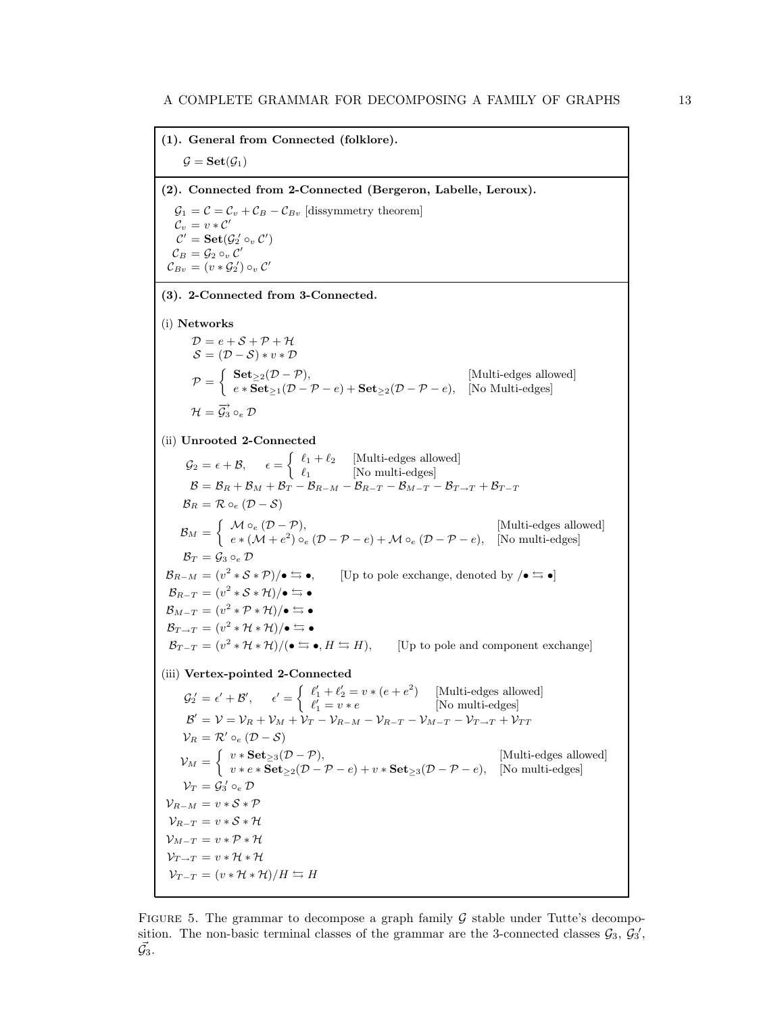(1). General from Connected (folklore).  $\mathcal{G} = \mathbf{Set}(\mathcal{G}_1)$ (2). Connected from 2-Connected (Bergeron, Labelle, Leroux).  $\mathcal{G}_1 = \mathcal{C} = \mathcal{C}_v + \mathcal{C}_B - \mathcal{C}_{Bv}$  [dissymmetry theorem]  $\mathcal{C}_v$  =  $v*\mathcal{C}'$  $\mathcal{C}'=\mathbf{Set}(\mathcal{G}_2'\circ_v\mathcal{C}')$  $\mathcal{C}_B = \mathcal{G}_2 \circ_v \mathcal{C}'$  $\mathcal{C}_{Bv} = (v * \mathcal{G}_2') \circ_v \mathcal{C}'$ (3). 2-Connected from 3-Connected. (i) Networks  $\mathcal{D}=e+\mathcal{S}+\mathcal{P}+\mathcal{H}$  $S = (\mathcal{D} - \mathcal{S}) * v * \mathcal{D}$  $\mathcal{P} = \begin{cases} \textbf{Set}_{\geq 2}(\mathcal{D} - \mathcal{P}), & [\text{Multi-edges allowed}] \\ \text{set} & (\mathcal{D} - \mathcal{D}) + \textbf{Set} & (\mathcal{D} - \mathcal{D}) \end{cases}$  $e * \mathbf{Set}_{\geq 1}(\mathcal{D} - \mathcal{P} - e) + \mathbf{Set}_{\geq 2}(\mathcal{D} - \mathcal{P} - e), \quad \text{[No Multi-edges]}$  $\mathcal{H}=\overrightarrow{\mathcal{G}_{3}}\circ_{e}\mathcal{D}% _{4}$ (ii) Unrooted 2-Connected  $\mathcal{G}_2 = \epsilon + \mathcal{B}, \quad \epsilon = \begin{cases} \ell_1 + \ell_2 & \text{[Multi-edges allowed]} \\ \ell_2 & \text{[NewC]}\end{cases}$  $\ell_1$  [No multi-edges]  $\mathcal{B} = \mathcal{B}_R + \mathcal{B}_M + \mathcal{B}_T - \mathcal{B}_{R-M} - \mathcal{B}_{R-T} - \mathcal{B}_{M-T} - \mathcal{B}_{T\rightarrow T} + \mathcal{B}_{T-T}$  $B_R = \mathcal{R} \circ_e (\mathcal{D} - \mathcal{S})$  $\mathcal{B}_M = \begin{cases} M \circ_e (D - \mathcal{P}), & \text{[Multi-edges allowed]} \\ \circ_e (M + \circ_e^2) \circ (D - \mathcal{P}) & \text{if } M \circ (D - \mathcal{P}) \end{cases}$  $e * (\mathcal{M} + e^2) \circ_e (\mathcal{D} - \mathcal{P} - e) + \mathcal{M} \circ_e (\mathcal{D} - \mathcal{P} - e),$  [No multi-edges]  $\mathcal{B}_T = \mathcal{G}_3 \circ_e \mathcal{D}$  $\mathcal{B}_{R-M} = (v^2 * \mathcal{S} * \mathcal{P})/\bullet \leftrightarrows \bullet,$  [Up to pole exchange, denoted by  $/\bullet \leftrightarrows \bullet$ ]  $\mathcal{B}_{R-T} = (v^2 * \mathcal{S} * \mathcal{H})/\bullet \leftrightarrows \bullet$  $\mathcal{B}_{M-T} = (v^2 \ast \mathcal{P} \ast \mathcal{H})/\bullet \leftrightarrows \bullet$  $\mathcal{B}_{T\to T} = (v^2 * \mathcal{H} * \mathcal{H})/\bullet \leftrightarrows \bullet$  $\mathcal{B}_{T-T} = (v^2 * \mathcal{H} * \mathcal{H})/(\bullet \leftrightarrows \bullet, H \leftrightarrows H),$  [Up to pole and component exchange] (iii) Vertex-pointed 2-Connected  $\mathcal{G}_2' = \epsilon' + \mathcal{B}', \qquad \epsilon' = \begin{cases} \ell'_1 + \ell'_2 = v * (e + e^2) & \text{[Multi-edges allowed]} \\ \ell' & \text{in } \mathbb{Z} \end{cases}$  $\ell'_1 = v * e$  [No multi-edges]  $\mathcal{B}'=\mathcal{V}=\mathcal{V}_R+\mathcal{V}_M+\dot{\mathcal{V}}_T-\mathcal{V}_{R-M}-\mathcal{V}_{R-T}-\mathcal{V}_{M-T}-\mathcal{V}_{T\rightarrow T}+\mathcal{V}_{TT}$  $\mathcal{V}_R = \mathcal{R}' \circ_e (\mathcal{D} - \mathcal{S})$  $V_M = \begin{cases} v * \textbf{Set}_{\geq 3}(\mathcal{D} - \mathcal{P}), & [\text{Multi-edges allowed}] \ v_{\text{rel}} & \textbf{Set}_{\geq 3}(\mathcal{D} - \mathcal{P}) \end{cases}$  $v * e * \mathbf{Set}_{\geq 2}(\mathcal{D} - \mathcal{P} - e) + v * \mathbf{Set}_{\geq 3}(\mathcal{D} - \mathcal{P} - e)$ , [No multi-edges]  $\mathcal{V}_T = \mathcal{G}_3^{\, \prime} \circ_e \mathcal{D}$  $\mathcal{V}_{R-M} = v * \mathcal{S} * \mathcal{P}$  $\mathcal{V}_{R-T} = v * \mathcal{S} * \mathcal{H}$  $\mathcal{V}_{M-T} = v * \mathcal{P} * \mathcal{H}$  $\mathcal{V}_{T\rightarrow T} = v * \mathcal{H} * \mathcal{H}$  $\mathcal{V}_{T-T} = (v * \mathcal{H} * \mathcal{H})/H \leftrightarrows H$ 

<span id="page-12-0"></span>FIGURE 5. The grammar to decompose a graph family  $\mathcal G$  stable under Tutte's decomposition. The non-basic terminal classes of the grammar are the 3-connected classes  $\mathcal{G}_3$ ,  $\mathcal{G}_3'$ ,  $\vec{\mathcal{G}_3}.$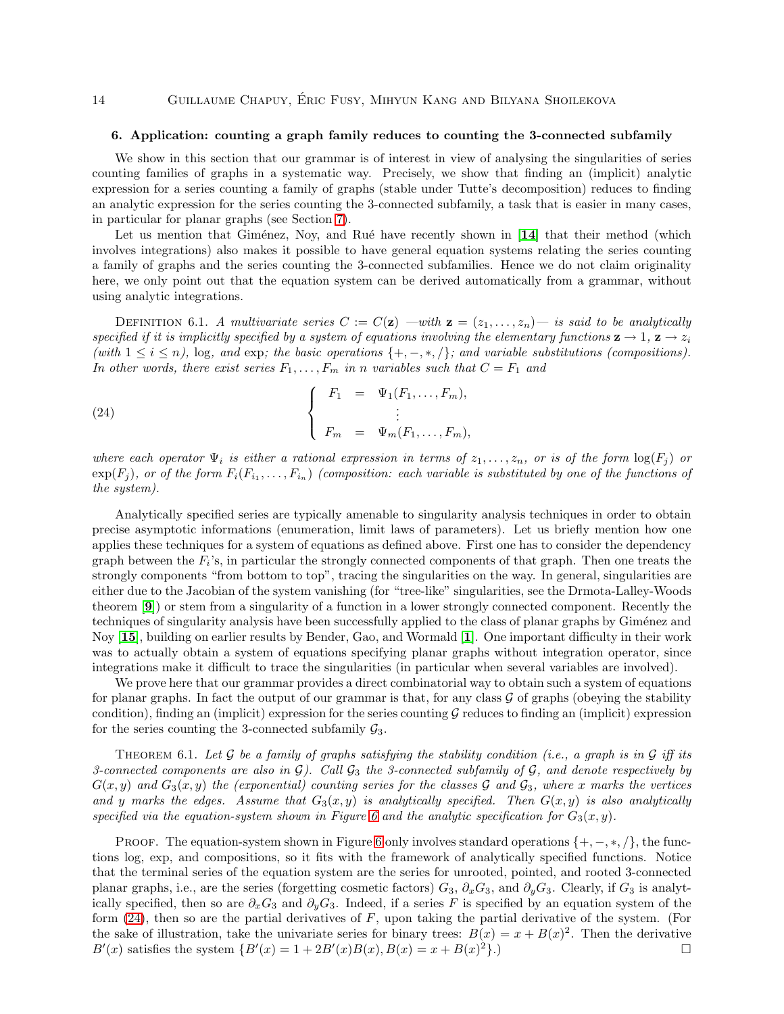## <span id="page-13-0"></span>14 **GUILLAUME CHAPUY, ÉRIC FUSY, MIHYUN KANG AND BILYANA SHOILEKOVA**

### 6. Application: counting a graph family reduces to counting the 3-connected subfamily

We show in this section that our grammar is of interest in view of analysing the singularities of series counting families of graphs in a systematic way. Precisely, we show that finding an (implicit) analytic expression for a series counting a family of graphs (stable under Tutte's decomposition) reduces to finding an analytic expression for the series counting the 3-connected subfamily, a task that is easier in many cases, in particular for planar graphs (see Section [7\)](#page-15-0).

Let us mention that Giménez, Noy, and Rué have recently shown in  $[14]$  $[14]$  $[14]$  that their method (which involves integrations) also makes it possible to have general equation systems relating the series counting a family of graphs and the series counting the 3-connected subfamilies. Hence we do not claim originality here, we only point out that the equation system can be derived automatically from a grammar, without using analytic integrations.

DEFINITION 6.1. *A multivariate series*  $C := C(\mathbf{z})$  —with  $\mathbf{z} = (z_1, \ldots, z_n)$ — is said to be analytically *specified if it is implicitly specified by a system of equations involving the elementary functions*  $z \to 1$ ,  $z \to z_i$  $(with\ 1 \leq i \leq n)$ , log, and exp; the basic operations  $\{+,-,*,/\}$ ; and variable substitutions (compositions). *In other words, there exist series*  $F_1, \ldots, F_m$  *in n variables such that*  $C = F_1$  *and* 

<span id="page-13-1"></span>(24) 
$$
\begin{cases} F_1 = \Psi_1(F_1, ..., F_m), \\ \vdots \\ F_m = \Psi_m(F_1, ..., F_m), \end{cases}
$$

*where each operator*  $\Psi_i$  *is either a rational expression in terms of*  $z_1, \ldots, z_n$ *, or is of the form*  $\log(F_i)$  *or*  $\exp(F_j)$ , or of the form  $F_i(F_{i_1}, \ldots, F_{i_n})$  (composition: each variable is substituted by one of the functions of *the system).*

Analytically specified series are typically amenable to singularity analysis techniques in order to obtain precise asymptotic informations (enumeration, limit laws of parameters). Let us briefly mention how one applies these techniques for a system of equations as defined above. First one has to consider the dependency graph between the  $F_i$ 's, in particular the strongly connected components of that graph. Then one treats the strongly components "from bottom to top", tracing the singularities on the way. In general, singularities are either due to the Jacobian of the system vanishing (for "tree-like" singularities, see the Drmota-Lalley-Woods theorem [[9](#page-24-7)]) or stem from a singularity of a function in a lower strongly connected component. Recently the techniques of singularity analysis have been successfully applied to the class of planar graphs by Giménez and Noy [[15](#page-24-3)], building on earlier results by Bender, Gao, and Wormald [[1](#page-24-0)]. One important difficulty in their work was to actually obtain a system of equations specifying planar graphs without integration operator, since integrations make it difficult to trace the singularities (in particular when several variables are involved).

We prove here that our grammar provides a direct combinatorial way to obtain such a system of equations for planar graphs. In fact the output of our grammar is that, for any class  $\mathcal G$  of graphs (obeying the stability condition), finding an (implicit) expression for the series counting  $G$  reduces to finding an (implicit) expression for the series counting the 3-connected subfamily  $\mathcal{G}_3$ .

<span id="page-13-2"></span>THEOREM 6.1. Let  $\mathcal G$  be a family of graphs satisfying the stability condition (i.e., a graph is in  $\mathcal G$  iff its *3-connected components are also in* G*). Call* G<sup>3</sup> *the 3-connected subfamily of* G*, and denote respectively by*  $G(x, y)$  and  $G_3(x, y)$  the (exponential) counting series for the classes  $\mathcal G$  and  $\mathcal G_3$ , where x marks the vertices and y marks the edges. Assume that  $G_3(x, y)$  is analytically specified. Then  $G(x, y)$  is also analytically specified via the equation-system shown in Figure [6](#page-14-0) and the analytic specification for  $G_3(x, y)$ .

PROOF. The equation-system shown in Figure [6](#page-14-0) only involves standard operations  $\{+,-,*,/\}$ , the functions log, exp, and compositions, so it fits with the framework of analytically specified functions. Notice that the terminal series of the equation system are the series for unrooted, pointed, and rooted 3-connected planar graphs, i.e., are the series (forgetting cosmetic factors)  $G_3$ ,  $\partial_x G_3$ , and  $\partial_y G_3$ . Clearly, if  $G_3$  is analytically specified, then so are  $\partial_x G_3$  and  $\partial_y G_3$ . Indeed, if a series F is specified by an equation system of the form  $(24)$ , then so are the partial derivatives of F, upon taking the partial derivative of the system. (For the sake of illustration, take the univariate series for binary trees:  $B(x) = x + B(x)^2$ . Then the derivative  $B'(x)$  satisfies the system  $\{B'(x) = 1 + 2B'(x)B(x), B(x) = x + B(x)$  $\overline{2}$ .)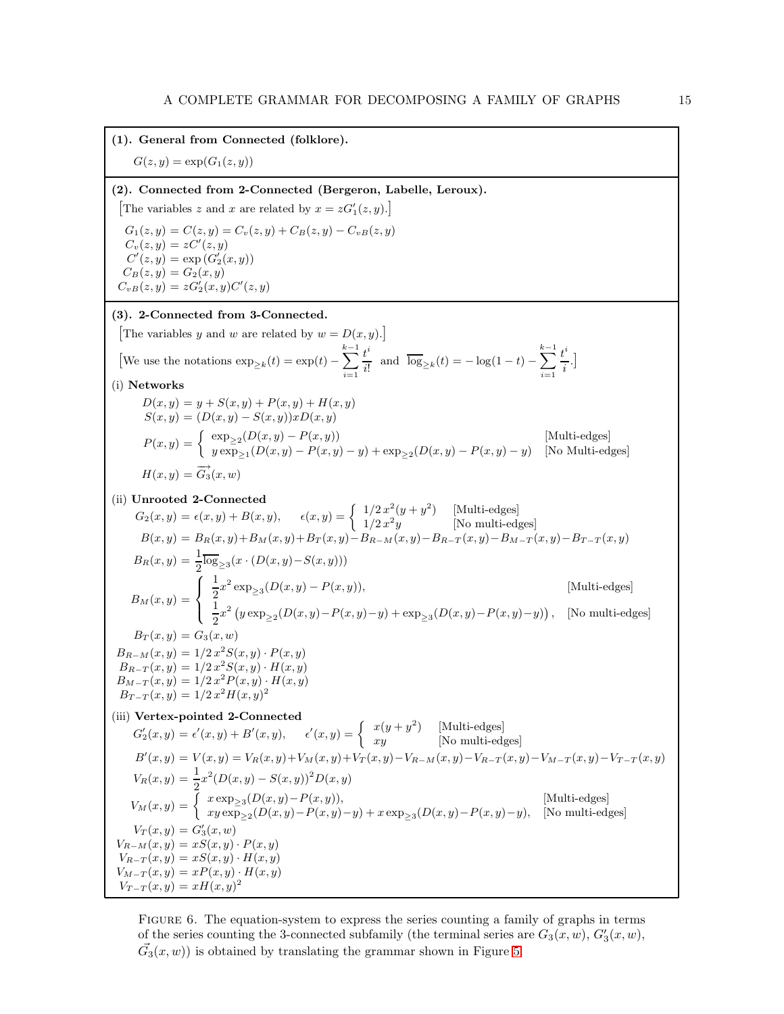

<span id="page-14-0"></span>FIGURE 6. The equation-system to express the series counting a family of graphs in terms of the series counting the 3-connected subfamily (the terminal series are  $G_3(x, w)$ ,  $G'_3(x, w)$ ,  $\vec{G}_3(x, w)$ ) is obtained by translating the grammar shown in Figure [5.](#page-12-0)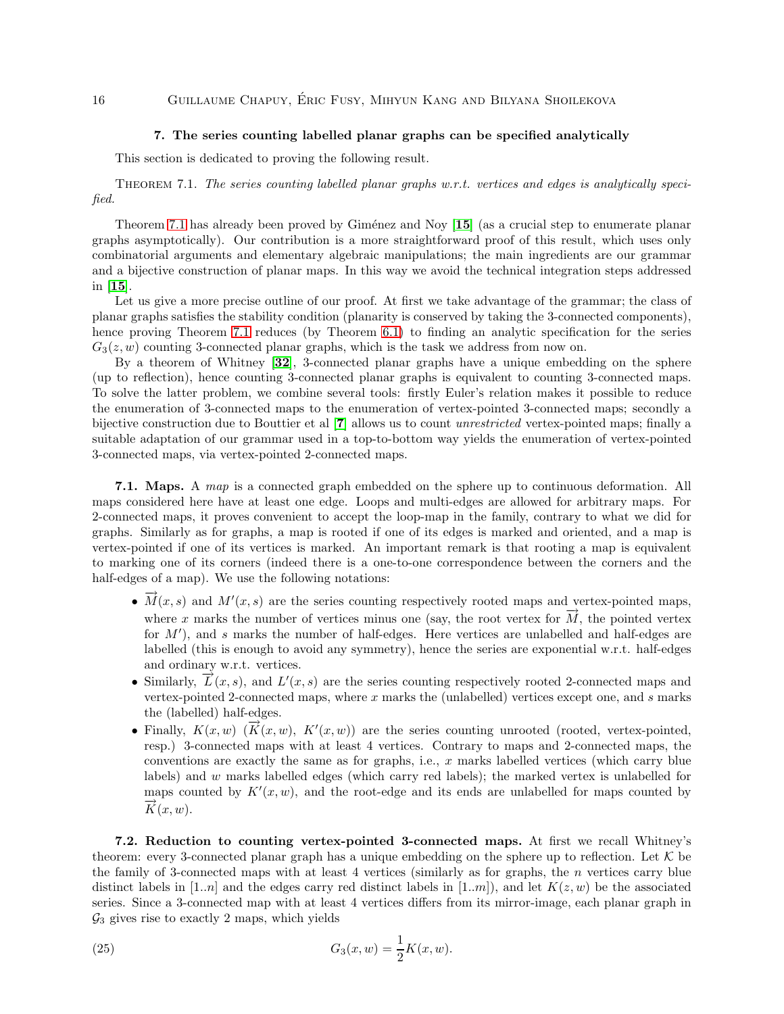### 7. The series counting labelled planar graphs can be specified analytically

<span id="page-15-1"></span><span id="page-15-0"></span>This section is dedicated to proving the following result.

Theorem 7.1. *The series counting labelled planar graphs w.r.t. vertices and edges is analytically specified.*

Theorem [7.1](#page-15-1) has already been proved by Giménez and Noy [[15](#page-24-3)] (as a crucial step to enumerate planar graphs asymptotically). Our contribution is a more straightforward proof of this result, which uses only combinatorial arguments and elementary algebraic manipulations; the main ingredients are our grammar and a bijective construction of planar maps. In this way we avoid the technical integration steps addressed in [[15](#page-24-3)].

Let us give a more precise outline of our proof. At first we take advantage of the grammar; the class of planar graphs satisfies the stability condition (planarity is conserved by taking the 3-connected components), hence proving Theorem [7.1](#page-15-1) reduces (by Theorem [6.1\)](#page-13-2) to finding an analytic specification for the series  $G_3(z, w)$  counting 3-connected planar graphs, which is the task we address from now on.

By a theorem of Whitney [[32](#page-25-7)], 3-connected planar graphs have a unique embedding on the sphere (up to reflection), hence counting 3-connected planar graphs is equivalent to counting 3-connected maps. To solve the latter problem, we combine several tools: firstly Euler's relation makes it possible to reduce the enumeration of 3-connected maps to the enumeration of vertex-pointed 3-connected maps; secondly a bijective construction due to Bouttier et al [[7](#page-24-20)] allows us to count *unrestricted* vertex-pointed maps; finally a suitable adaptation of our grammar used in a top-to-bottom way yields the enumeration of vertex-pointed 3-connected maps, via vertex-pointed 2-connected maps.

7.1. Maps. A *map* is a connected graph embedded on the sphere up to continuous deformation. All maps considered here have at least one edge. Loops and multi-edges are allowed for arbitrary maps. For 2-connected maps, it proves convenient to accept the loop-map in the family, contrary to what we did for graphs. Similarly as for graphs, a map is rooted if one of its edges is marked and oriented, and a map is vertex-pointed if one of its vertices is marked. An important remark is that rooting a map is equivalent to marking one of its corners (indeed there is a one-to-one correspondence between the corners and the half-edges of a map). We use the following notations:

- $\overrightarrow{M}(x, s)$  and  $M'(x, s)$  are the series counting respectively rooted maps and vertex-pointed maps, where x marks the number of vertices minus one (say, the root vertex for  $\overrightarrow{M}$ , the pointed vertex for  $M'$ ), and s marks the number of half-edges. Here vertices are unlabelled and half-edges are labelled (this is enough to avoid any symmetry), hence the series are exponential w.r.t. half-edges and ordinary w.r.t. vertices.
- Similarly,  $\overrightarrow{L}(x, s)$ , and  $L'(x, s)$  are the series counting respectively rooted 2-connected maps and vertex-pointed 2-connected maps, where  $x$  marks the (unlabelled) vertices except one, and  $s$  marks the (labelled) half-edges.
- Finally,  $K(x, w)$   $(\overrightarrow{K}(x, w), K'(x, w))$  are the series counting unrooted (rooted, vertex-pointed, resp.) 3-connected maps with at least 4 vertices. Contrary to maps and 2-connected maps, the conventions are exactly the same as for graphs, i.e., x marks labelled vertices (which carry blue labels) and w marks labelled edges (which carry red labels); the marked vertex is unlabelled for maps counted by  $K'(x, w)$ , and the root-edge and its ends are unlabelled for maps counted by  $\overrightarrow{K}(x,w).$

<span id="page-15-2"></span>7.2. Reduction to counting vertex-pointed 3-connected maps. At first we recall Whitney's theorem: every 3-connected planar graph has a unique embedding on the sphere up to reflection. Let  $K$  be the family of 3-connected maps with at least 4 vertices (similarly as for graphs, the  $n$  vertices carry blue distinct labels in [1..n] and the edges carry red distinct labels in [1..m]), and let  $K(z, w)$  be the associated series. Since a 3-connected map with at least 4 vertices differs from its mirror-image, each planar graph in  $\mathcal{G}_3$  gives rise to exactly 2 maps, which yields

(25) 
$$
G_3(x, w) = \frac{1}{2}K(x, w).
$$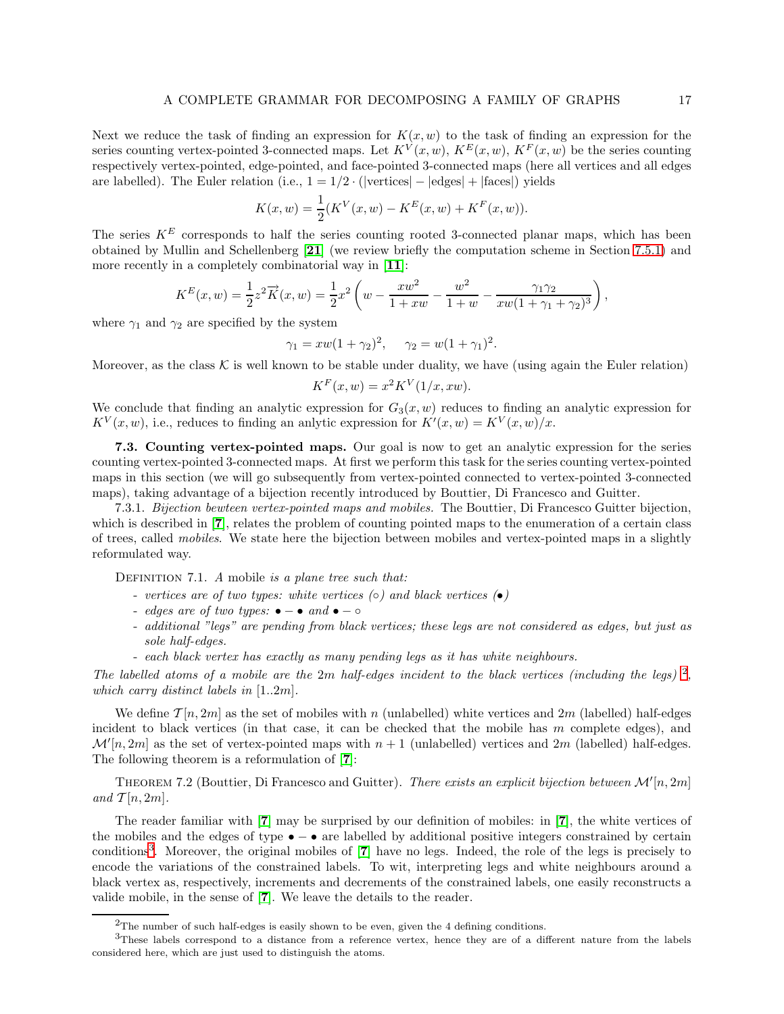Next we reduce the task of finding an expression for  $K(x, w)$  to the task of finding an expression for the series counting vertex-pointed 3-connected maps. Let  $K^V(x, w)$ ,  $K^E(x, w)$ ,  $K^F(x, w)$  be the series counting respectively vertex-pointed, edge-pointed, and face-pointed 3-connected maps (here all vertices and all edges are labelled). The Euler relation (i.e.,  $1 = 1/2 \cdot (|\text{vertices}| - |\text{edges}| + |\text{faces}|)$  yields

$$
K(x, w) = \frac{1}{2}(K^{V}(x, w) - K^{E}(x, w) + K^{F}(x, w)).
$$

The series  $K^E$  corresponds to half the series counting rooted 3-connected planar maps, which has been obtained by Mullin and Schellenberg [[21](#page-24-21)] (we review briefly the computation scheme in Section [7.5.1\)](#page-21-0) and more recently in a completely combinatorial way in [[11](#page-24-22)]:

$$
K^{E}(x, w) = \frac{1}{2}z^{2}\overrightarrow{K}(x, w) = \frac{1}{2}x^{2}\left(w - \frac{xw^{2}}{1 + xw} - \frac{w^{2}}{1 + w} - \frac{\gamma_{1}\gamma_{2}}{xw(1 + \gamma_{1} + \gamma_{2})^{3}}\right),
$$

where  $\gamma_1$  and  $\gamma_2$  are specified by the system

$$
\gamma_1 = xw(1 + \gamma_2)^2, \quad \gamma_2 = w(1 + \gamma_1)^2.
$$

Moreover, as the class  $\mathcal K$  is well known to be stable under duality, we have (using again the Euler relation)

$$
K^F(x, w) = x^2 K^V(1/x, xw).
$$

We conclude that finding an analytic expression for  $G_3(x, w)$  reduces to finding an analytic expression for  $K^V(x, w)$ , i.e., reduces to finding an anlytic expression for  $K'(x, w) = K^V(x, w)/x$ .

<span id="page-16-3"></span>7.3. Counting vertex-pointed maps. Our goal is now to get an analytic expression for the series counting vertex-pointed 3-connected maps. At first we perform this task for the series counting vertex-pointed maps in this section (we will go subsequently from vertex-pointed connected to vertex-pointed 3-connected maps), taking advantage of a bijection recently introduced by Bouttier, Di Francesco and Guitter.

7.3.1. *Bijection bewteen vertex-pointed maps and mobiles.* The Bouttier, Di Francesco Guitter bijection, which is described in [[7](#page-24-20)], relates the problem of counting pointed maps to the enumeration of a certain class of trees, called *mobiles*. We state here the bijection between mobiles and vertex-pointed maps in a slightly reformulated way.

Definition 7.1. *A* mobile *is a plane tree such that:*

- *vertices are of two types: white vertices (*◦*) and black vertices (*•*)*
- *edges are of two types:* − *and* − ◦
- *additional "legs" are pending from black vertices; these legs are not considered as edges, but just as sole half-edges.*
- *each black vertex has exactly as many pending legs as it has white neighbours.*

*The labelled atoms of a mobile are the* 2m *half-edges incident to the black vertices (including the legs)* [2](#page-16-0) *, which carry distinct labels in* [1..2m]*.*

We define  $\mathcal{T}[n, 2m]$  as the set of mobiles with n (unlabelled) white vertices and  $2m$  (labelled) half-edges incident to black vertices (in that case, it can be checked that the mobile has m complete edges), and  $\mathcal{M}'[n,2m]$  as the set of vertex-pointed maps with  $n+1$  (unlabelled) vertices and  $2m$  (labelled) half-edges. The following theorem is a reformulation of [[7](#page-24-20)]:

<span id="page-16-2"></span>THEOREM 7.2 (Bouttier, Di Francesco and Guitter). *There exists an explicit bijection between*  $\mathcal{M}'[n, 2m]$ and  $\mathcal{T}[n, 2m]$ .

The reader familiar with [[7](#page-24-20)] may be surprised by our definition of mobiles: in [[7](#page-24-20)], the white vertices of the mobiles and the edges of type • − • are labelled by additional positive integers constrained by certain conditions<sup>[3](#page-16-1)</sup>. Moreover, the original mobiles of [[7](#page-24-20)] have no legs. Indeed, the role of the legs is precisely to encode the variations of the constrained labels. To wit, interpreting legs and white neighbours around a black vertex as, respectively, increments and decrements of the constrained labels, one easily reconstructs a valide mobile, in the sense of [[7](#page-24-20)]. We leave the details to the reader.

<span id="page-16-1"></span><span id="page-16-0"></span> $2$ The number of such half-edges is easily shown to be even, given the 4 defining conditions.

<sup>&</sup>lt;sup>3</sup>These labels correspond to a distance from a reference vertex, hence they are of a different nature from the labels considered here, which are just used to distinguish the atoms.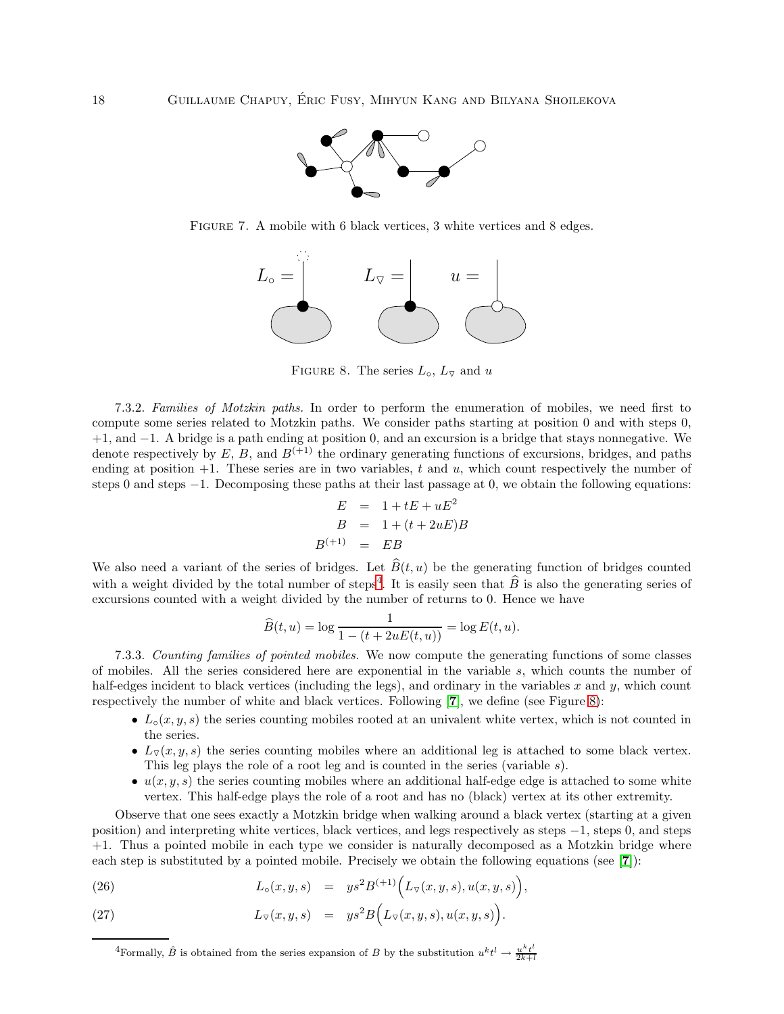

FIGURE 7. A mobile with 6 black vertices, 3 white vertices and 8 edges.



<span id="page-17-1"></span>FIGURE 8. The series  $L_0$ ,  $L_{\nabla}$  and u

7.3.2. *Families of Motzkin paths.* In order to perform the enumeration of mobiles, we need first to compute some series related to Motzkin paths. We consider paths starting at position 0 and with steps 0, +1, and −1. A bridge is a path ending at position 0, and an excursion is a bridge that stays nonnegative. We denote respectively by E, B, and  $B^{(+1)}$  the ordinary generating functions of excursions, bridges, and paths ending at position  $+1$ . These series are in two variables, t and u, which count respectively the number of steps 0 and steps −1. Decomposing these paths at their last passage at 0, we obtain the following equations:

$$
E = 1 + tE + uE2
$$
  
\n
$$
B = 1 + (t + 2uE)B
$$
  
\n
$$
B^{(+1)} = EB
$$

We also need a variant of the series of bridges. Let  $\widehat{B}(t, u)$  be the generating function of bridges counted with a weight divided by the total number of steps<sup>[4](#page-17-0)</sup>. It is easily seen that  $\hat{B}$  is also the generating series of excursions counted with a weight divided by the number of returns to 0. Hence we have

$$
\widehat{B}(t, u) = \log \frac{1}{1 - (t + 2uE(t, u))} = \log E(t, u).
$$

7.3.3. *Counting families of pointed mobiles.* We now compute the generating functions of some classes of mobiles. All the series considered here are exponential in the variable s, which counts the number of half-edges incident to black vertices (including the legs), and ordinary in the variables  $x$  and  $y$ , which count respectively the number of white and black vertices. Following [[7](#page-24-20)], we define (see Figure [8\)](#page-17-1):

- $L_0(x, y, s)$  the series counting mobiles rooted at an univalent white vertex, which is not counted in the series.
- $L_{\nabla}(x, y, s)$  the series counting mobiles where an additional leg is attached to some black vertex. This leg plays the role of a root leg and is counted in the series (variable s).
- $u(x, y, s)$  the series counting mobiles where an additional half-edge edge is attached to some white vertex. This half-edge plays the role of a root and has no (black) vertex at its other extremity.

Observe that one sees exactly a Motzkin bridge when walking around a black vertex (starting at a given position) and interpreting white vertices, black vertices, and legs respectively as steps −1, steps 0, and steps +1. Thus a pointed mobile in each type we consider is naturally decomposed as a Motzkin bridge where each step is substituted by a pointed mobile. Precisely we obtain the following equations (see [[7](#page-24-20)]):

(26) 
$$
L_{\circ}(x, y, s) = y s^{2} B^{(+1)} (L_{\triangledown}(x, y, s), u(x, y, s)),
$$

(27) 
$$
L_{\triangledown}(x,y,s) = y s^2 B\Big(L_{\triangledown}(x,y,s), u(x,y,s)\Big).
$$

<span id="page-17-0"></span><sup>&</sup>lt;sup>4</sup>Formally,  $\hat{B}$  is obtained from the series expansion of B by the substitution  $u^k t^l \to \frac{u^k t^l}{2k+l}$  $2k+l$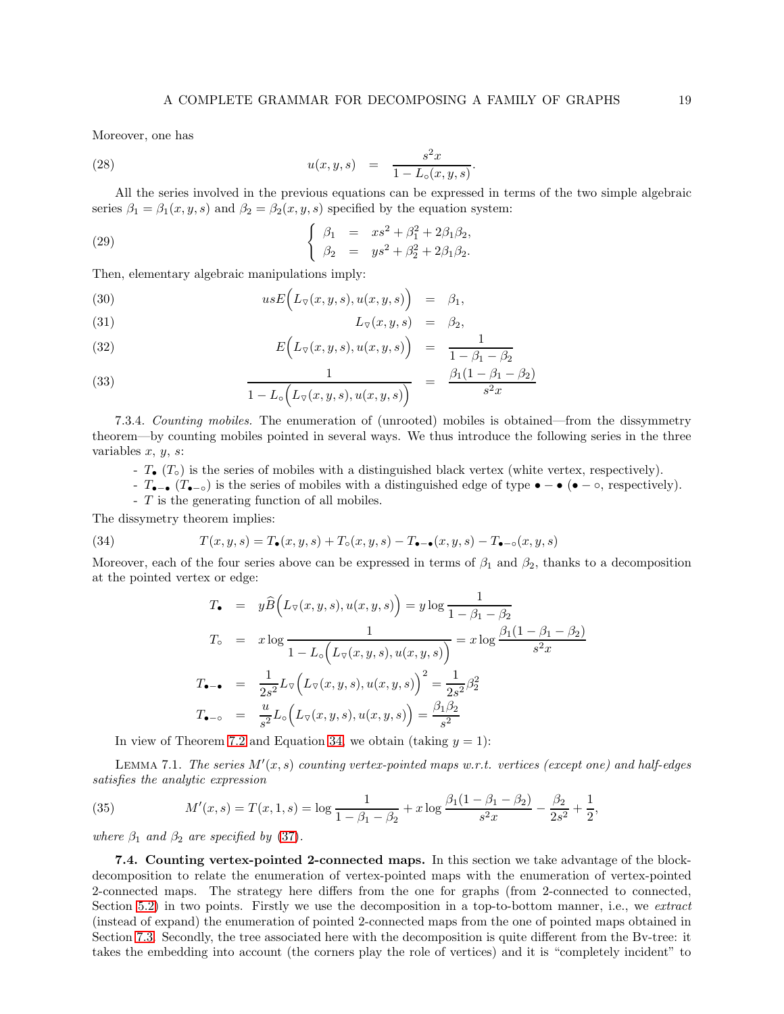Moreover, one has

(28) 
$$
u(x, y, s) = \frac{s^2 x}{1 - L_o(x, y, s)}.
$$

All the series involved in the previous equations can be expressed in terms of the two simple algebraic series  $\beta_1 = \beta_1(x, y, s)$  and  $\beta_2 = \beta_2(x, y, s)$  specified by the equation system:

(29) 
$$
\begin{cases} \beta_1 = x s^2 + \beta_1^2 + 2\beta_1 \beta_2, \\ \beta_2 = y s^2 + \beta_2^2 + 2\beta_1 \beta_2. \end{cases}
$$

Then, elementary algebraic manipulations imply:

(30) 
$$
usE\Big(L_{\nabla}(x, y, s), u(x, y, s)\Big) = \beta_1,
$$

$$
L_{\triangledown}(x, y, s) = \beta_2,
$$

(32) 
$$
E\Big(L_{\nabla}(x, y, s), u(x, y, s)\Big) = \frac{1}{1 - \beta_1 - \beta_2}
$$

(33) 
$$
\frac{1}{1 - L_{\circ} \left( L_{\triangledown}(x, y, s), u(x, y, s) \right)} = \frac{\beta_1 (1 - \beta_1 - \beta_2)}{s^2 x}
$$

7.3.4. *Counting mobiles.* The enumeration of (unrooted) mobiles is obtained—from the dissymmetry theorem—by counting mobiles pointed in several ways. We thus introduce the following series in the three variables  $x, y, s$ :

- $T_{\bullet}$  ( $T_{\circ}$ ) is the series of mobiles with a distinguished black vertex (white vertex, respectively).
- T.  $(T_{\bullet-\bullet}$  (T.) is the series of mobiles with a distinguished edge of type  $\bullet-\bullet$  ( $\bullet-\circ$ , respectively).
- T is the generating function of all mobiles.

The dissymetry theorem implies:

(34) 
$$
T(x,y,s) = T_{\bullet}(x,y,s) + T_{\circ}(x,y,s) - T_{\bullet-\bullet}(x,y,s) - T_{\bullet-\circ}(x,y,s)
$$

Moreover, each of the four series above can be expressed in terms of  $\beta_1$  and  $\beta_2$ , thanks to a decomposition at the pointed vertex or edge:

<span id="page-18-0"></span>
$$
T_{\bullet} = y\hat{B}\Big(L_{\nabla}(x, y, s), u(x, y, s)\Big) = y\log\frac{1}{1 - \beta_1 - \beta_2}
$$
  
\n
$$
T_{\circ} = x\log\frac{1}{1 - L_{\circ}\Big(L_{\nabla}(x, y, s), u(x, y, s)\Big)} = x\log\frac{\beta_1(1 - \beta_1 - \beta_2)}{s^2x}
$$
  
\n
$$
T_{\bullet - \bullet} = \frac{1}{2s^2}L_{\nabla}\Big(L_{\nabla}(x, y, s), u(x, y, s)\Big)^2 = \frac{1}{2s^2}\beta_2^2
$$
  
\n
$$
T_{\bullet - \circ} = \frac{u}{s^2}L_{\circ}\Big(L_{\nabla}(x, y, s), u(x, y, s)\Big) = \frac{\beta_1\beta_2}{s^2}
$$

In view of Theorem [7.2](#page-16-2) and Equation [34,](#page-18-0) we obtain (taking  $y = 1$ ):

LEMMA 7.1. *The series*  $M'(x, s)$  *counting vertex-pointed maps w.r.t. vertices (except one)* and half-edges *satisfies the analytic expression*

(35) 
$$
M'(x,s) = T(x,1,s) = \log \frac{1}{1 - \beta_1 - \beta_2} + x \log \frac{\beta_1(1 - \beta_1 - \beta_2)}{s^2 x} - \frac{\beta_2}{2s^2} + \frac{1}{2},
$$

<span id="page-18-1"></span>*where*  $\beta_1$  *and*  $\beta_2$  *are specified by* [\(37\)](#page-19-0)*.* 

7.4. Counting vertex-pointed 2-connected maps. In this section we take advantage of the blockdecomposition to relate the enumeration of vertex-pointed maps with the enumeration of vertex-pointed 2-connected maps. The strategy here differs from the one for graphs (from 2-connected to connected, Section [5.2\)](#page-9-0) in two points. Firstly we use the decomposition in a top-to-bottom manner, i.e., we *extract* (instead of expand) the enumeration of pointed 2-connected maps from the one of pointed maps obtained in Section [7.3.](#page-16-3) Secondly, the tree associated here with the decomposition is quite different from the Bv-tree: it takes the embedding into account (the corners play the role of vertices) and it is "completely incident" to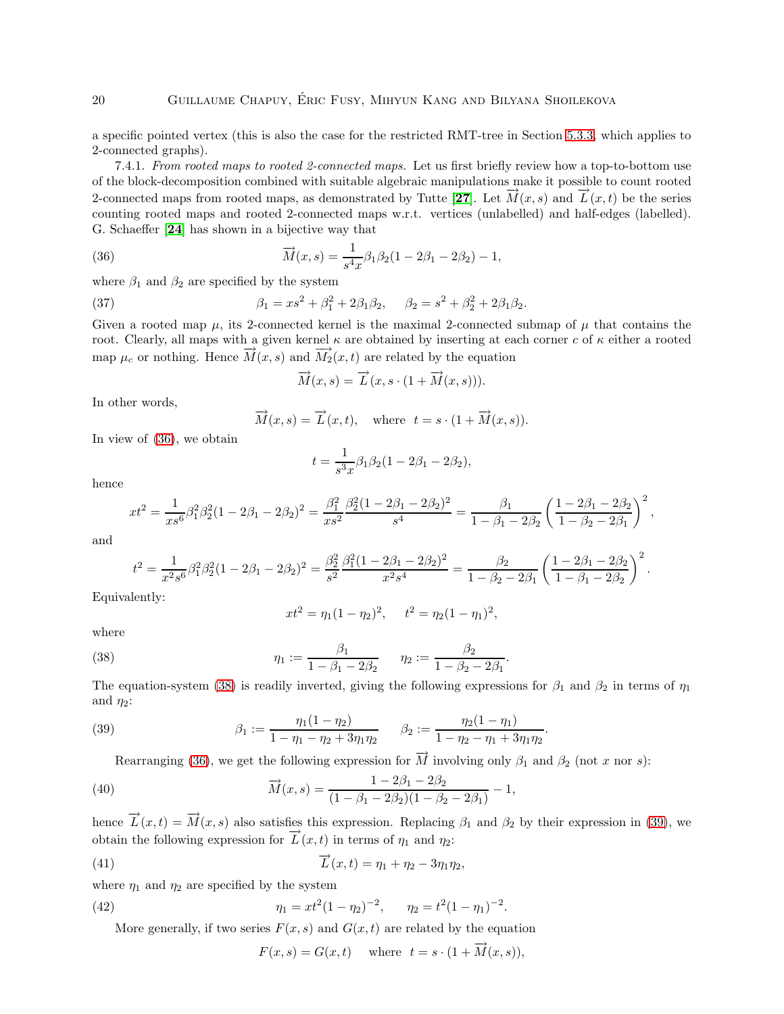a specific pointed vertex (this is also the case for the restricted RMT-tree in Section [5.3.3,](#page-11-1) which applies to 2-connected graphs).

<span id="page-19-5"></span>7.4.1. *From rooted maps to rooted 2-connected maps.* Let us first briefly review how a top-to-bottom use of the block-decomposition combined with suitable algebraic manipulations make it possible to count rooted 2-connected maps from rooted maps, as demonstrated by Tutte [[27](#page-25-0)]. Let  $\vec{M}(x, s)$  and  $\vec{L}(x, t)$  be the series counting rooted maps and rooted 2-connected maps w.r.t. vertices (unlabelled) and half-edges (labelled). G. Schaeffer [[24](#page-24-23)] has shown in a bijective way that

(36) 
$$
\overrightarrow{M}(x,s) = \frac{1}{s^4x} \beta_1 \beta_2 (1 - 2\beta_1 - 2\beta_2) - 1,
$$

where  $\beta_1$  and  $\beta_2$  are specified by the system

(37) 
$$
\beta_1 = xs^2 + \beta_1^2 + 2\beta_1\beta_2, \quad \beta_2 = s^2 + \beta_2^2 + 2\beta_1\beta_2.
$$

Given a rooted map  $\mu$ , its 2-connected kernel is the maximal 2-connected submap of  $\mu$  that contains the root. Clearly, all maps with a given kernel  $\kappa$  are obtained by inserting at each corner c of  $\kappa$  either a rooted map  $\mu_c$  or nothing. Hence  $\overline{M}(x, s)$  and  $\overline{M}_2(x, t)$  are related by the equation

<span id="page-19-1"></span><span id="page-19-0"></span>
$$
\overrightarrow{M}(x,s) = \overrightarrow{L}(x,s \cdot (1 + \overrightarrow{M}(x,s))).
$$

In other words,

$$
\overrightarrow{M}(x,s) = \overrightarrow{L}(x,t), \quad \text{where} \quad t = s \cdot (1 + \overrightarrow{M}(x,s)).
$$

In view of [\(36\)](#page-19-1), we obtain

$$
t = \frac{1}{s^3 x} \beta_1 \beta_2 (1 - 2\beta_1 - 2\beta_2),
$$

hence

$$
xt^2 = \frac{1}{xs^6} \beta_1^2 \beta_2^2 (1 - 2\beta_1 - 2\beta_2)^2 = \frac{\beta_1^2}{xs^2} \frac{\beta_2^2 (1 - 2\beta_1 - 2\beta_2)^2}{s^4} = \frac{\beta_1}{1 - \beta_1 - 2\beta_2} \left(\frac{1 - 2\beta_1 - 2\beta_2}{1 - \beta_2 - 2\beta_1}\right)^2,
$$

and

$$
t^2=\frac{1}{x^2s^6}\beta_1^2\beta_2^2(1-2\beta_1-2\beta_2)^2=\frac{\beta_2^2}{s^2}\frac{\beta_1^2(1-2\beta_1-2\beta_2)^2}{x^2s^4}=\frac{\beta_2}{1-\beta_2-2\beta_1}\left(\frac{1-2\beta_1-2\beta_2}{1-\beta_1-2\beta_2}\right)^2.
$$

Equivalently:

<span id="page-19-2"></span>
$$
xt^2 = \eta_1 (1 - \eta_2)^2, \quad t^2 = \eta_2 (1 - \eta_1)^2,
$$

where

(38) 
$$
\eta_1 := \frac{\beta_1}{1 - \beta_1 - 2\beta_2} \qquad \eta_2 := \frac{\beta_2}{1 - \beta_2 - 2\beta_1}
$$

The equation-system [\(38\)](#page-19-2) is readily inverted, giving the following expressions for  $\beta_1$  and  $\beta_2$  in terms of  $\eta_1$ and  $\eta_2$ :

.

(39) 
$$
\beta_1 := \frac{\eta_1(1 - \eta_2)}{1 - \eta_1 - \eta_2 + 3\eta_1\eta_2} \qquad \beta_2 := \frac{\eta_2(1 - \eta_1)}{1 - \eta_2 - \eta_1 + 3\eta_1\eta_2}.
$$

<span id="page-19-4"></span><span id="page-19-3"></span>Rearranging [\(36\)](#page-19-1), we get the following expression for  $\vec{M}$  involving only  $\beta_1$  and  $\beta_2$  (not x nor s):

(40) 
$$
\overrightarrow{M}(x,s) = \frac{1 - 2\beta_1 - 2\beta_2}{(1 - \beta_1 - 2\beta_2)(1 - \beta_2 - 2\beta_1)} - 1,
$$

hence  $\overrightarrow{L}(x,t) = \overrightarrow{M}(x,s)$  also satisfies this expression. Replacing  $\beta_1$  and  $\beta_2$  by their expression in [\(39\)](#page-19-3), we obtain the following expression for  $\overrightarrow{L}(x, t)$  in terms of  $\eta_1$  and  $\eta_2$ :

(41) 
$$
\overrightarrow{L}(x,t) = \eta_1 + \eta_2 - 3\eta_1\eta_2,
$$

where  $\eta_1$  and  $\eta_2$  are specified by the system

(42) 
$$
\eta_1 = xt^2(1 - \eta_2)^{-2}, \qquad \eta_2 = t^2(1 - \eta_1)^{-2}.
$$

More generally, if two series  $F(x, s)$  and  $G(x, t)$  are related by the equation

<span id="page-19-6"></span>
$$
F(x,s) = G(x,t) \quad \text{where} \quad t = s \cdot (1 + \overrightarrow{M}(x,s)),
$$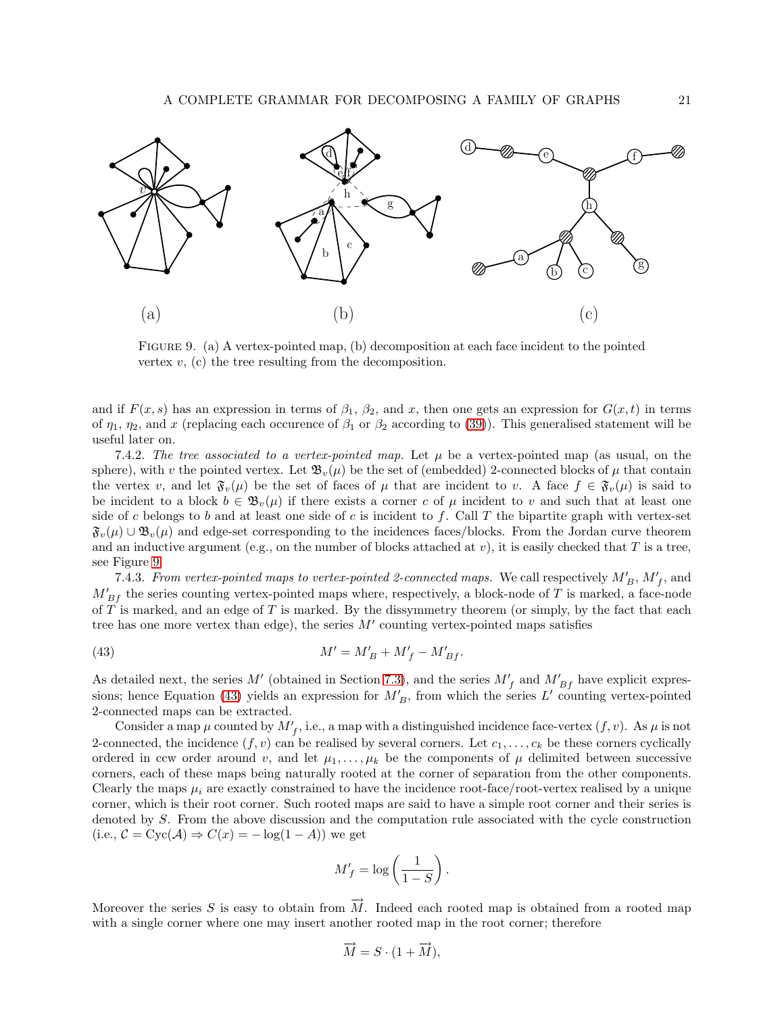

<span id="page-20-0"></span>Figure 9. (a) A vertex-pointed map, (b) decomposition at each face incident to the pointed vertex  $v$ , (c) the tree resulting from the decomposition.

and if  $F(x, s)$  has an expression in terms of  $\beta_1$ ,  $\beta_2$ , and x, then one gets an expression for  $G(x, t)$  in terms of  $\eta_1$ ,  $\eta_2$ , and x (replacing each occurence of  $\beta_1$  or  $\beta_2$  according to [\(39\)](#page-19-3)). This generalised statement will be useful later on.

7.4.2. The tree associated to a vertex-pointed map. Let  $\mu$  be a vertex-pointed map (as usual, on the sphere), with v the pointed vertex. Let  $\mathfrak{B}_v(\mu)$  be the set of (embedded) 2-connected blocks of  $\mu$  that contain the vertex v, and let  $\mathfrak{F}_v(\mu)$  be the set of faces of  $\mu$  that are incident to v. A face  $f \in \mathfrak{F}_v(\mu)$  is said to be incident to a block  $b \in \mathfrak{B}_v(\mu)$  if there exists a corner c of  $\mu$  incident to v and such that at least one side of c belongs to b and at least one side of c is incident to f. Call T the bipartite graph with vertex-set  $\mathfrak{F}_v(\mu) \cup \mathfrak{B}_v(\mu)$  and edge-set corresponding to the incidences faces/blocks. From the Jordan curve theorem and an inductive argument (e.g., on the number of blocks attached at  $v$ ), it is easily checked that T is a tree, see Figure [9.](#page-20-0)

7.4.3. *From vertex-pointed maps to vertex-pointed 2-connected maps.* We call respectively  $M'_B$ ,  $M'_f$ , and  $M'_{Bf}$  the series counting vertex-pointed maps where, respectively, a block-node of T is marked, a face-node of  $T$  is marked, and an edge of  $T$  is marked. By the dissymmetry theorem (or simply, by the fact that each tree has one more vertex than edge), the series  $M'$  counting vertex-pointed maps satisfies

(43) 
$$
M' = M'_B + M'_f - M'_{Bf}.
$$

As detailed next, the series M' (obtained in Section [7.3\)](#page-16-3), and the series  $M'_{f}$  and  $M'_{Bf}$  have explicit expres-sions; hence Equation [\(43\)](#page-20-1) yields an expression for  $M'_B$ , from which the series  $L'$  counting vertex-pointed 2-connected maps can be extracted.

Consider a map  $\mu$  counted by  $M'_{f}$ , i.e., a map with a distinguished incidence face-vertex  $(f, v)$ . As  $\mu$  is not 2-connected, the incidence  $(f, v)$  can be realised by several corners. Let  $c_1, \ldots, c_k$  be these corners cyclically ordered in ccw order around v, and let  $\mu_1, \ldots, \mu_k$  be the components of  $\mu$  delimited between successive corners, each of these maps being naturally rooted at the corner of separation from the other components. Clearly the maps  $\mu_i$  are exactly constrained to have the incidence root-face/root-vertex realised by a unique corner, which is their root corner. Such rooted maps are said to have a simple root corner and their series is denoted by S. From the above discussion and the computation rule associated with the cycle construction (i.e.,  $C = \text{Cyc}(\mathcal{A}) \Rightarrow C(x) = -\log(1 - A)$ ) we get

<span id="page-20-1"></span>
$$
M'_{f} = \log\left(\frac{1}{1-S}\right).
$$

Moreover the series S is easy to obtain from  $\overrightarrow{M}$ . Indeed each rooted map is obtained from a rooted map with a single corner where one may insert another rooted map in the root corner; therefore

$$
\overrightarrow{M} = S \cdot (1 + \overrightarrow{M}),
$$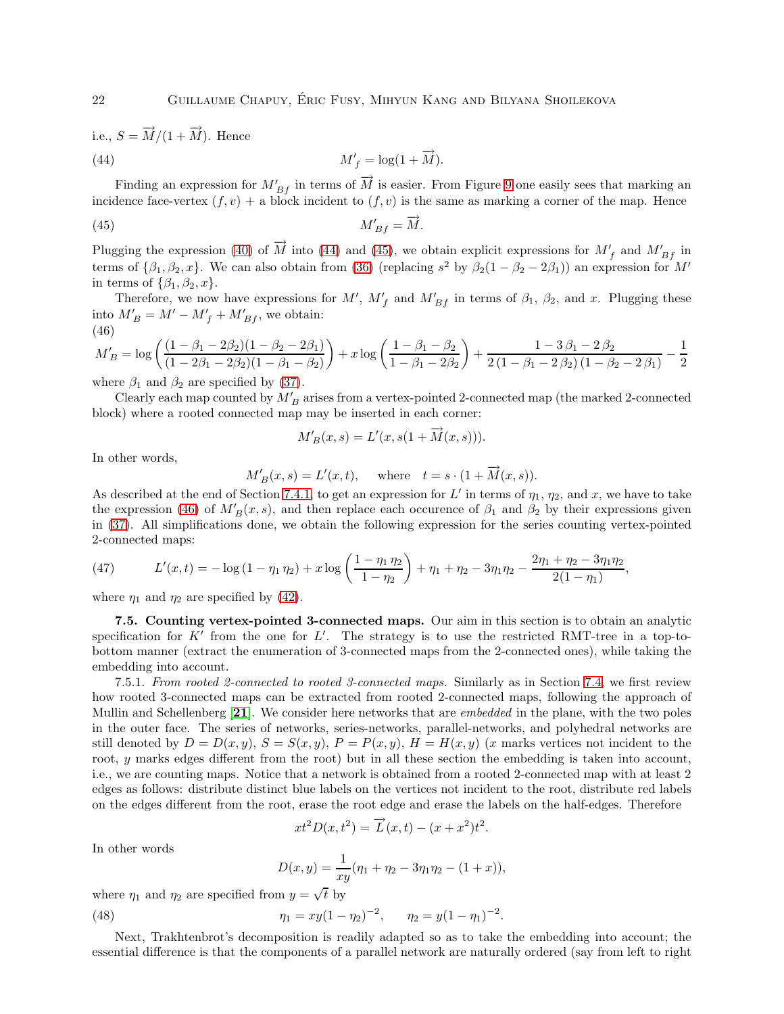i.e.,  $S = \overrightarrow{M}/(1 + \overrightarrow{M})$ . Hence

<span id="page-21-1"></span>(44) 
$$
M'_f = \log(1 + \overrightarrow{M}).
$$

Finding an expression for  $M'_{Bf}$  in terms of  $\overrightarrow{M}$  is easier. From Figure [9](#page-20-0) one easily sees that marking an incidence face-vertex  $(f, v)$  + a block incident to  $(f, v)$  is the same as marking a corner of the map. Hence

$$
M'_{Bf} = \overrightarrow{M}.
$$

Plugging the expression [\(40\)](#page-19-4) of  $\overrightarrow{M}$  into [\(44\)](#page-21-1) and [\(45\)](#page-21-2), we obtain explicit expressions for  $M'_{f}$  and  $M'_{Bf}$  in terms of  $\{\beta_1, \beta_2, x\}$ . We can also obtain from [\(36\)](#page-19-1) (replacing  $s^2$  by  $\beta_2(1-\beta_2-2\beta_1)$ ) an expression for  $M'$ in terms of  $\{\beta_1, \beta_2, x\}.$ 

Therefore, we now have expressions for M',  $M'_{f}$  and  $M'_{Bf}$  in terms of  $\beta_1$ ,  $\beta_2$ , and x. Plugging these into  $M'_B = M' - M'_f + M'_{Bf}$ , we obtain: (46)

<span id="page-21-3"></span>
$$
M'_B = \log\left(\frac{(1-\beta_1-2\beta_2)(1-\beta_2-2\beta_1)}{(1-2\beta_1-2\beta_2)(1-\beta_1-\beta_2)}\right) + x\log\left(\frac{1-\beta_1-\beta_2}{1-\beta_1-2\beta_2}\right) + \frac{1-3\beta_1-2\beta_2}{2(1-\beta_1-2\beta_2)(1-\beta_2-2\beta_1)} - \frac{1}{2}
$$

where  $\beta_1$  and  $\beta_2$  are specified by [\(37\)](#page-19-0).

Clearly each map counted by  $M'_B$  arises from a vertex-pointed 2-connected map (the marked 2-connected block) where a rooted connected map may be inserted in each corner:

<span id="page-21-2"></span>
$$
M'_B(x,s) = L'(x, s(1 + \overrightarrow{M}(x,s))).
$$

In other words,

$$
M'_B(x, s) = L'(x, t)
$$
, where  $t = s \cdot (1 + \overrightarrow{M}(x, s))$ .

As described at the end of Section [7.4.1,](#page-19-5) to get an expression for L' in terms of  $\eta_1$ ,  $\eta_2$ , and x, we have to take the expression [\(46\)](#page-21-3) of  $M'_{B}(x, s)$ , and then replace each occurence of  $\beta_1$  and  $\beta_2$  by their expressions given in [\(37\)](#page-19-0). All simplifications done, we obtain the following expression for the series counting vertex-pointed 2-connected maps:

,

(47) 
$$
L'(x,t) = -\log(1 - \eta_1 \eta_2) + x \log\left(\frac{1 - \eta_1 \eta_2}{1 - \eta_2}\right) + \eta_1 + \eta_2 - 3\eta_1 \eta_2 - \frac{2\eta_1 + \eta_2 - 3\eta_1 \eta_2}{2(1 - \eta_1)}
$$

<span id="page-21-4"></span>where  $\eta_1$  and  $\eta_2$  are specified by [\(42\)](#page-19-6).

7.5. Counting vertex-pointed 3-connected maps. Our aim in this section is to obtain an analytic specification for  $K'$  from the one for  $L'$ . The strategy is to use the restricted RMT-tree in a top-tobottom manner (extract the enumeration of 3-connected maps from the 2-connected ones), while taking the embedding into account.

<span id="page-21-0"></span>7.5.1. *From rooted 2-connected to rooted 3-connected maps.* Similarly as in Section [7.4,](#page-18-1) we first review how rooted 3-connected maps can be extracted from rooted 2-connected maps, following the approach of Mullin and Schellenberg [[21](#page-24-21)]. We consider here networks that are *embedded* in the plane, with the two poles in the outer face. The series of networks, series-networks, parallel-networks, and polyhedral networks are still denoted by  $D = D(x, y)$ ,  $S = S(x, y)$ ,  $P = P(x, y)$ ,  $H = H(x, y)$  (x marks vertices not incident to the root, y marks edges different from the root) but in all these section the embedding is taken into account, i.e., we are counting maps. Notice that a network is obtained from a rooted 2-connected map with at least 2 edges as follows: distribute distinct blue labels on the vertices not incident to the root, distribute red labels on the edges different from the root, erase the root edge and erase the labels on the half-edges. Therefore

$$
xt^2D(x,t^2) = \overrightarrow{L}(x,t) - (x+x^2)t^2.
$$

In other words

$$
D(x,y) = \frac{1}{xy}(\eta_1 + \eta_2 - 3\eta_1\eta_2 - (1+x)),
$$

where  $\eta_1$  and  $\eta_2$  are specified from  $y = \sqrt{t}$  by

(48) 
$$
\eta_1 = xy(1 - \eta_2)^{-2}, \qquad \eta_2 = y(1 - \eta_1)^{-2}.
$$

Next, Trakhtenbrot's decomposition is readily adapted so as to take the embedding into account; the essential difference is that the components of a parallel network are naturally ordered (say from left to right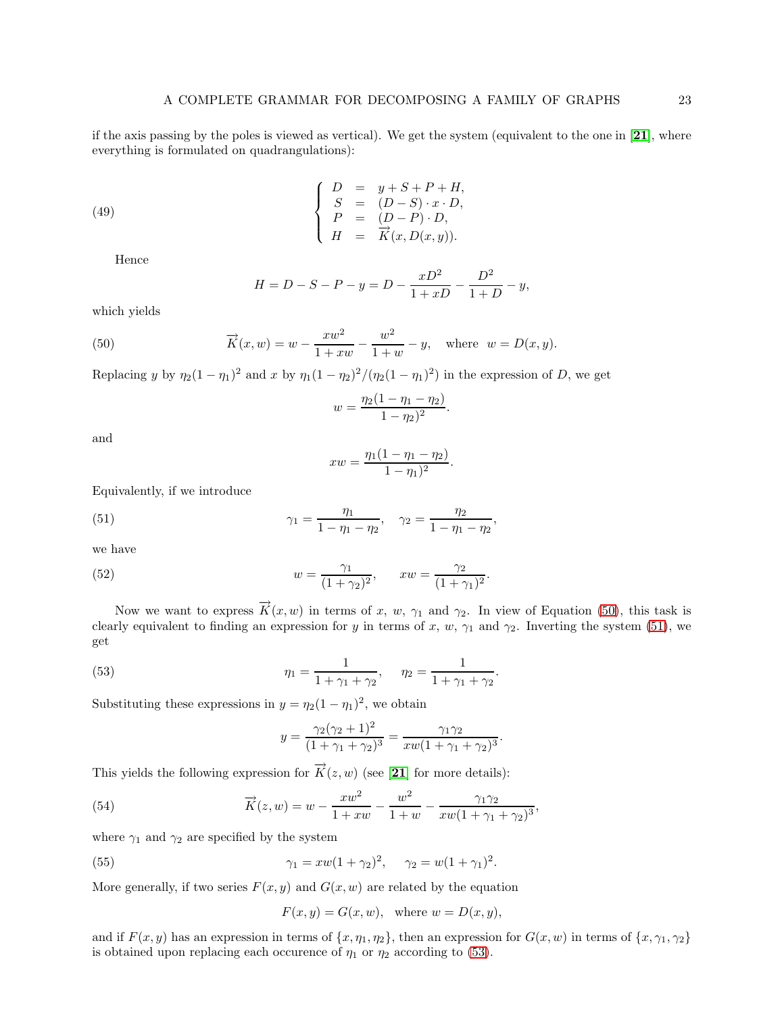if the axis passing by the poles is viewed as vertical). We get the system (equivalent to the one in [[21](#page-24-21)], where everything is formulated on quadrangulations):

(49) 
$$
\begin{cases}\nD = y + S + P + H, \\
S = (D - S) \cdot x \cdot D, \\
P = (D - P) \cdot D, \\
H = \overrightarrow{K}(x, D(x, y)).\n\end{cases}
$$

Hence

<span id="page-22-0"></span>
$$
H = D - S - P - y = D - \frac{xD^2}{1 + xD} - \frac{D^2}{1 + D} - y,
$$

which yields

(50) 
$$
\overrightarrow{K}(x, w) = w - \frac{xw^2}{1 + xw} - \frac{w^2}{1 + w} - y, \text{ where } w = D(x, y).
$$

Replacing y by  $\eta_2(1-\eta_1)^2$  and x by  $\eta_1(1-\eta_2)^2/(\eta_2(1-\eta_1)^2)$  in the expression of D, we get

$$
w = \frac{\eta_2(1 - \eta_1 - \eta_2)}{1 - \eta_2)^2}.
$$

and

<span id="page-22-1"></span>
$$
xw = \frac{\eta_1(1 - \eta_1 - \eta_2)}{1 - \eta_1)^2}.
$$

Equivalently, if we introduce

(51) 
$$
\gamma_1 = \frac{\eta_1}{1 - \eta_1 - \eta_2}, \quad \gamma_2 = \frac{\eta_2}{1 - \eta_1 - \eta_2},
$$

we have

(52) 
$$
w = \frac{\gamma_1}{(1+\gamma_2)^2}, \qquad xw = \frac{\gamma_2}{(1+\gamma_1)^2}.
$$

Now we want to express  $\overrightarrow{K}(x, w)$  in terms of x, w,  $\gamma_1$  and  $\gamma_2$ . In view of Equation [\(50\)](#page-22-0), this task is clearly equivalent to finding an expression for y in terms of x, w,  $\gamma_1$  and  $\gamma_2$ . Inverting the system [\(51\)](#page-22-1), we get

.

,

(53) 
$$
\eta_1 = \frac{1}{1 + \gamma_1 + \gamma_2}, \quad \eta_2 = \frac{1}{1 + \gamma_1 + \gamma_2}
$$

Substituting these expressions in  $y = \eta_2(1 - \eta_1)^2$ , we obtain

<span id="page-22-2"></span>
$$
y = \frac{\gamma_2(\gamma_2 + 1)^2}{(1 + \gamma_1 + \gamma_2)^3} = \frac{\gamma_1 \gamma_2}{xw(1 + \gamma_1 + \gamma_2)^3}.
$$

This yields the following expression for  $\overrightarrow{K}(z, w)$  (see [[21](#page-24-21)] for more details):

(54) 
$$
\overrightarrow{K}(z,w) = w - \frac{xw^2}{1+xw} - \frac{w^2}{1+w} - \frac{\gamma_1\gamma_2}{xw(1+\gamma_1+\gamma_2)^3}
$$

where  $\gamma_1$  and  $\gamma_2$  are specified by the system

(55) 
$$
\gamma_1 = xw(1 + \gamma_2)^2, \quad \gamma_2 = w(1 + \gamma_1)^2.
$$

More generally, if two series  $F(x, y)$  and  $G(x, w)$  are related by the equation

<span id="page-22-3"></span>
$$
F(x, y) = G(x, w), \text{ where } w = D(x, y),
$$

and if  $F(x, y)$  has an expression in terms of  $\{x, \eta_1, \eta_2\}$ , then an expression for  $G(x, w)$  in terms of  $\{x, \gamma_1, \gamma_2\}$ is obtained upon replacing each occurence of  $\eta_1$  or  $\eta_2$  according to [\(53\)](#page-22-2).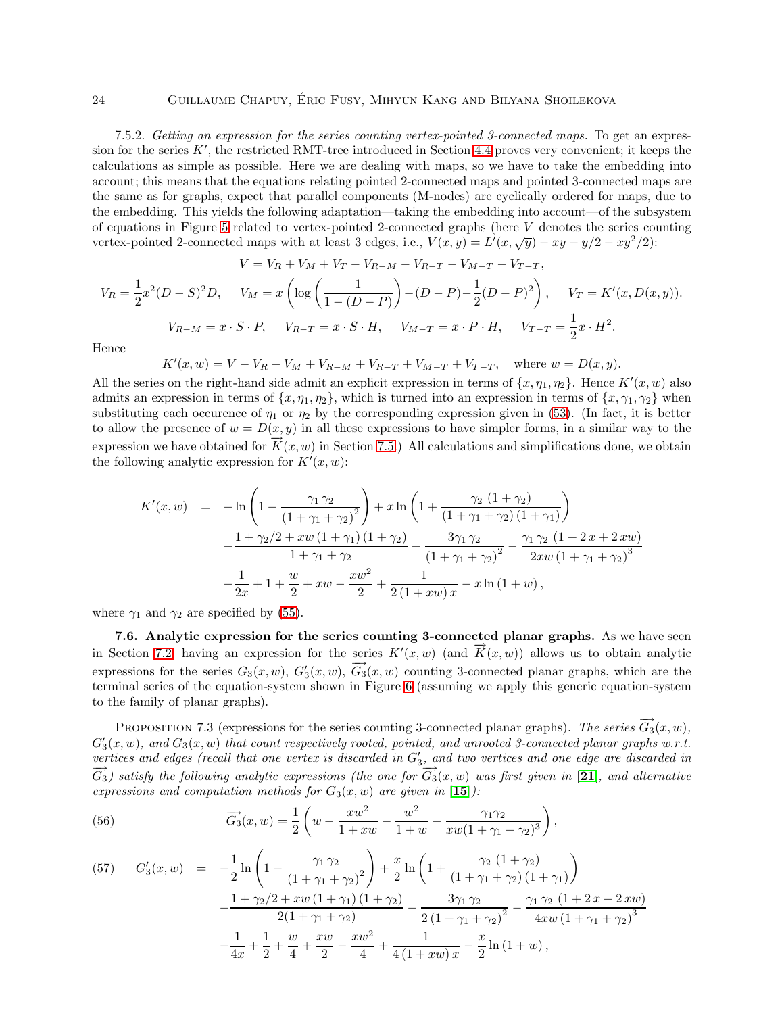### 24 Guillaume Chapuy, Eric Fusy, Mihyun Kang and Bilyana Shoilekova ´

<span id="page-23-0"></span>7.5.2. *Getting an expression for the series counting vertex-pointed 3-connected maps.* To get an expression for the series  $K'$ , the restricted RMT-tree introduced in Section [4.4](#page-8-1) proves very convenient; it keeps the calculations as simple as possible. Here we are dealing with maps, so we have to take the embedding into account; this means that the equations relating pointed 2-connected maps and pointed 3-connected maps are the same as for graphs, expect that parallel components (M-nodes) are cyclically ordered for maps, due to the embedding. This yields the following adaptation—taking the embedding into account—of the subsystem of equations in Figure [5](#page-12-0) related to vertex-pointed 2-connected graphs (here V denotes the series counting vertex-pointed 2-connected maps with at least 3 edges, i.e.,  $V(x, y) = L'(x, \sqrt{y}) - xy - y/2 - xy^2/2$ :

$$
V = V_R + V_M + V_T - V_{R-M} - V_{R-T} - V_{M-T} - V_{T-T},
$$
  
\n
$$
V_R = \frac{1}{2}x^2(D - S)^2D, \quad V_M = x\left(\log\left(\frac{1}{1 - (D - P)}\right) - (D - P) - \frac{1}{2}(D - P)^2\right), \quad V_T = K'(x, D(x, y)).
$$
  
\n
$$
V_{R-M} = x \cdot S \cdot P, \quad V_{R-T} = x \cdot S \cdot H, \quad V_{M-T} = x \cdot P \cdot H, \quad V_{T-T} = \frac{1}{2}x \cdot H^2.
$$

Hence

$$
K'(x, w) = V - V_R - V_M + V_{R-M} + V_{R-T} + V_{M-T} + V_{T-T}, \text{ where } w = D(x, y).
$$

All the series on the right-hand side admit an explicit expression in terms of  $\{x, \eta_1, \eta_2\}$ . Hence  $K'(x, w)$  also admits an expression in terms of  $\{x, \eta_1, \eta_2\}$ , which is turned into an expression in terms of  $\{x, \gamma_1, \gamma_2\}$  when substituting each occurence of  $\eta_1$  or  $\eta_2$  by the corresponding expression given in [\(53\)](#page-22-2). (In fact, it is better to allow the presence of  $w = D(x, y)$  in all these expressions to have simpler forms, in a similar way to the expression we have obtained for  $\overline{K}(x, w)$  in Section [7.5.](#page-21-4)) All calculations and simplifications done, we obtain the following analytic expression for  $K'(x, w)$ :

$$
K'(x, w) = -\ln\left(1 - \frac{\gamma_1 \gamma_2}{\left(1 + \gamma_1 + \gamma_2\right)^2}\right) + x \ln\left(1 + \frac{\gamma_2 \left(1 + \gamma_2\right)}{\left(1 + \gamma_1 + \gamma_2\right)\left(1 + \gamma_1\right)}\right) - \frac{1 + \gamma_2/2 + xw\left(1 + \gamma_1\right)\left(1 + \gamma_2\right)}{1 + \gamma_1 + \gamma_2} - \frac{3\gamma_1 \gamma_2}{\left(1 + \gamma_1 + \gamma_2\right)^2} - \frac{\gamma_1 \gamma_2 \left(1 + 2x + 2xw\right)}{2xw\left(1 + \gamma_1 + \gamma_2\right)^3} - \frac{1}{2x} + 1 + \frac{w}{2} + xw - \frac{xw^2}{2} + \frac{1}{2\left(1 + xw\right)x} - x\ln\left(1 + w\right),
$$

where  $\gamma_1$  and  $\gamma_2$  are specified by [\(55\)](#page-22-3).

7.6. Analytic expression for the series counting 3-connected planar graphs. As we have seen in Section [7.2,](#page-15-2) having an expression for the series  $K'(x, w)$  (and  $\overrightarrow{K}(x, w)$ ) allows us to obtain analytic expressions for the series  $G_3(x, w)$ ,  $G'_3(x, w)$ ,  $\overrightarrow{G_3}(x, w)$  counting 3-connected planar graphs, which are the terminal series of the equation-system shown in Figure [6](#page-14-0) (assuming we apply this generic equation-system to the family of planar graphs).

PROPOSITION 7.3 (expressions for the series counting 3-connected planar graphs). The series  $\overline{G_3}(x, w)$ ,  $G'_{3}(x, w)$ , and  $G_{3}(x, w)$  that count respectively rooted, pointed, and unrooted 3-connected planar graphs w.r.t. *vertices and edges (recall that one vertex is discarded in* G′ 3 *, and two vertices and one edge are discarded in*  $\overline{G_3}$ ) satisfy the following analytic expressions (the one for  $\overline{G_3}(x, w)$  was first given in [[21](#page-24-21)], and alternative *expressions and computation methods for*  $G_3(x, w)$  *are given in* [[15](#page-24-3)]*)*:

(56) 
$$
\overrightarrow{G_3}(x,w) = \frac{1}{2} \left( w - \frac{xw^2}{1+xw} - \frac{w^2}{1+w} - \frac{\gamma_1\gamma_2}{xw(1+\gamma_1+\gamma_2)^3} \right),
$$

(57) 
$$
G'_3(x, w) = -\frac{1}{2}\ln\left(1 - \frac{\gamma_1\gamma_2}{(1 + \gamma_1 + \gamma_2)^2}\right) + \frac{x}{2}\ln\left(1 + \frac{\gamma_2(1 + \gamma_2)}{(1 + \gamma_1 + \gamma_2)(1 + \gamma_1)}\right) - \frac{1 + \gamma_2/2 + xw(1 + \gamma_1)(1 + \gamma_2)}{2(1 + \gamma_1 + \gamma_2)} - \frac{3\gamma_1\gamma_2}{2(1 + \gamma_1 + \gamma_2)^2} - \frac{\gamma_1\gamma_2(1 + 2x + 2xw)}{4xw(1 + \gamma_1 + \gamma_2)^3} - \frac{1}{4x} + \frac{1}{2} + \frac{w}{4} + \frac{xw}{2} - \frac{xw^2}{4} + \frac{1}{4(1 + xw)x} - \frac{x}{2}\ln(1 + w),
$$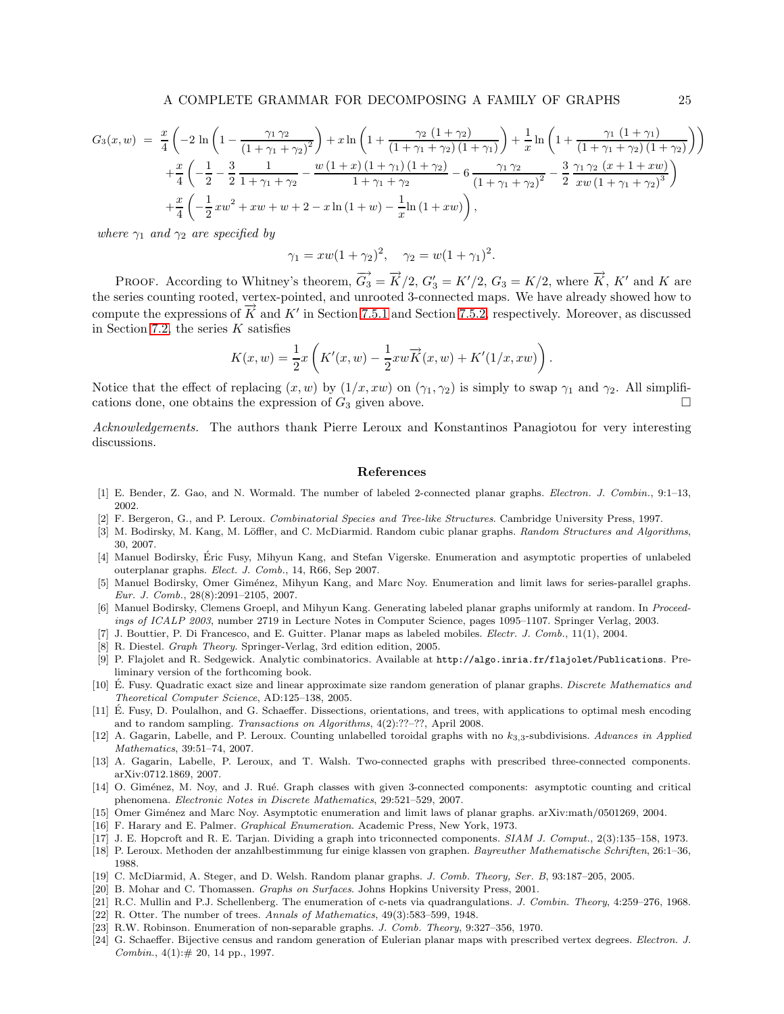$$
G_3(x, w) = \frac{x}{4} \left( -2 \ln \left( 1 - \frac{\gamma_1 \gamma_2}{(1 + \gamma_1 + \gamma_2)^2} \right) + x \ln \left( 1 + \frac{\gamma_2 (1 + \gamma_2)}{(1 + \gamma_1 + \gamma_2) (1 + \gamma_1)} \right) + \frac{1}{x} \ln \left( 1 + \frac{\gamma_1 (1 + \gamma_1)}{(1 + \gamma_1 + \gamma_2) (1 + \gamma_2)} \right) \right) + \frac{x}{4} \left( -\frac{1}{2} - \frac{3}{2} \frac{1}{1 + \gamma_1 + \gamma_2} - \frac{w (1 + x) (1 + \gamma_1) (1 + \gamma_2)}{1 + \gamma_1 + \gamma_2} - 6 \frac{\gamma_1 \gamma_2}{(1 + \gamma_1 + \gamma_2)^2} - \frac{3}{2} \frac{\gamma_1 \gamma_2 (x + 1 + xw)}{xw (1 + \gamma_1 + \gamma_2)^3} \right) + \frac{x}{4} \left( -\frac{1}{2} x w^2 + xw + w + 2 - x \ln (1 + w) - \frac{1}{x} \ln (1 + xw) \right),
$$

*where*  $\gamma_1$  *and*  $\gamma_2$  *are specified by* 

$$
\gamma_1 = xw(1 + \gamma_2)^2, \quad \gamma_2 = w(1 + \gamma_1)^2.
$$

PROOF. According to Whitney's theorem,  $\overrightarrow{G_3} = \overrightarrow{K}/2$ ,  $G'_3 = K'/2$ ,  $G_3 = K/2$ , where  $\overrightarrow{K}$ ,  $K'$  and  $K$  are the series counting rooted, vertex-pointed, and unrooted 3-connected maps. We have already showed how to compute the expressions of  $\overrightarrow{K}$  and  $K'$  in Section [7.5.1](#page-21-0) and Section [7.5.2,](#page-23-0) respectively. Moreover, as discussed in Section [7.2,](#page-15-2) the series  $K$  satisfies

$$
K(x, w) = \frac{1}{2}x \left( K'(x, w) - \frac{1}{2}xw\overrightarrow{K}(x, w) + K'(1/x, xw) \right).
$$

Notice that the effect of replacing  $(x, w)$  by  $(1/x, xw)$  on  $(\gamma_1, \gamma_2)$  is simply to swap  $\gamma_1$  and  $\gamma_2$ . All simplifications done, one obtains the expression of  $G_3$  given above.

*Acknowledgements.* The authors thank Pierre Leroux and Konstantinos Panagiotou for very interesting discussions.

### References

- <span id="page-24-12"></span><span id="page-24-0"></span>[1] E. Bender, Z. Gao, and N. Wormald. The number of labeled 2-connected planar graphs. Electron. J. Combin., 9:1–13, 2002.
- <span id="page-24-1"></span>[2] F. Bergeron, G., and P. Leroux. Combinatorial Species and Tree-like Structures. Cambridge University Press, 1997.
- [3] M. Bodirsky, M. Kang, M. Löffler, and C. McDiarmid. Random cubic planar graphs. Random Structures and Algorithms, 30, 2007.
- <span id="page-24-11"></span>[4] Manuel Bodirsky, Eric Fusy, Mihyun Kang, and Stefan Vigerske. Enumeration and asymptotic properties of unlabeled outerplanar graphs. Elect. J. Comb., 14, R66, Sep 2007.
- <span id="page-24-5"></span>[5] Manuel Bodirsky, Omer Giménez, Mihyun Kang, and Marc Noy. Enumeration and limit laws for series-parallel graphs. Eur. J. Comb., 28(8):2091–2105, 2007.
- <span id="page-24-6"></span>[6] Manuel Bodirsky, Clemens Groepl, and Mihyun Kang. Generating labeled planar graphs uniformly at random. In Proceedings of ICALP 2003, number 2719 in Lecture Notes in Computer Science, pages 1095–1107. Springer Verlag, 2003.
- <span id="page-24-20"></span><span id="page-24-15"></span>[7] J. Bouttier, P. Di Francesco, and E. Guitter. Planar maps as labeled mobiles. *Electr. J. Comb.*, 11(1), 2004.
- <span id="page-24-7"></span>[8] R. Diestel. Graph Theory. Springer-Verlag, 3rd edition edition, 2005.
- [9] P. Flajolet and R. Sedgewick. Analytic combinatorics. Available at http://algo.inria.fr/flajolet/Publications. Preliminary version of the forthcoming book.
- <span id="page-24-2"></span>[10] E. Fusy. Quadratic exact size and linear approximate size random generation of planar graphs. Discrete Mathematics and Theoretical Computer Science, AD:125–138, 2005.
- <span id="page-24-22"></span>[11] É. Fusy, D. Poulalhon, and G. Schaeffer. Dissections, orientations, and trees, with applications to optimal mesh encoding and to random sampling. Transactions on Algorithms, 4(2):??–??, April 2008.
- <span id="page-24-10"></span>[12] A. Gagarin, Labelle, and P. Leroux. Counting unlabelled toroidal graphs with no  $k_{3,3}$ -subdivisions. Advances in Applied Mathematics, 39:51–74, 2007.
- <span id="page-24-8"></span>[13] A. Gagarin, Labelle, P. Leroux, and T. Walsh. Two-connected graphs with prescribed three-connected components. arXiv:0712.1869, 2007.
- <span id="page-24-9"></span>[14] O. Giménez, M. Noy, and J. Rué. Graph classes with given 3-connected components: asymptotic counting and critical phenomena. Electronic Notes in Discrete Mathematics, 29:521–529, 2007.
- <span id="page-24-14"></span><span id="page-24-3"></span>[15] Omer Giménez and Marc Noy. Asymptotic enumeration and limit laws of planar graphs. arXiv:math/0501269, 2004.
- <span id="page-24-17"></span>[16] F. Harary and E. Palmer. *Graphical Enumeration*. Academic Press, New York, 1973.
- <span id="page-24-19"></span>[17] J. E. Hopcroft and R. E. Tarjan. Dividing a graph into triconnected components. SIAM J. Comput., 2(3):135–158, 1973.
- [18] P. Leroux. Methoden der anzahlbestimmung fur einige klassen von graphen. Bayreuther Mathematische Schriften, 26:1–36, 1988.
- <span id="page-24-16"></span><span id="page-24-4"></span>[19] C. McDiarmid, A. Steger, and D. Welsh. Random planar graphs. J. Comb. Theory, Ser. B, 93:187–205, 2005.
- <span id="page-24-21"></span>[20] B. Mohar and C. Thomassen. Graphs on Surfaces. Johns Hopkins University Press, 2001.
- <span id="page-24-13"></span>[21] R.C. Mullin and P.J. Schellenberg. The enumeration of c-nets via quadrangulations. J. Combin. Theory, 4:259-276, 1968.
- <span id="page-24-18"></span>[22] R. Otter. The number of trees. Annals of Mathematics, 49(3):583–599, 1948.
- <span id="page-24-23"></span>[23] R.W. Robinson. Enumeration of non-separable graphs. J. Comb. Theory, 9:327–356, 1970.
- [24] G. Schaeffer. Bijective census and random generation of Eulerian planar maps with prescribed vertex degrees. Electron. J. Combin.,  $4(1)$ : # 20, 14 pp., 1997.